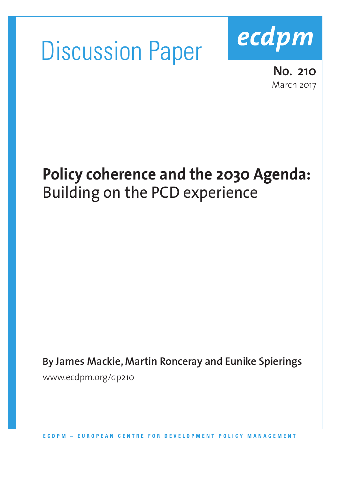# Discussion Paper



**No. 210** March 2017

# **Policy coherence and the 2030 Agenda:**  Building on the PCD experience

**By James Mackie, Martin Ronceray and Eunike Spierings** www.ecdpm.org/dp210

**ECDPM – EUROPEAN CENTRE FOR DEVELOPMENT POLICY MANAGEMENT**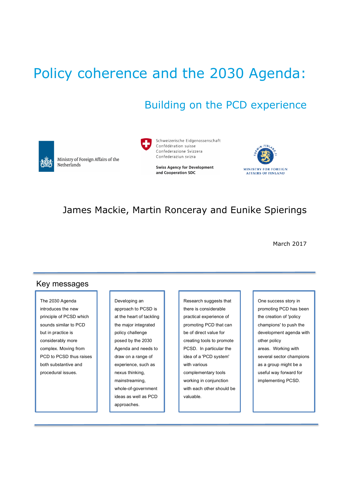# Policy coherence and the 2030 Agenda:

# Building on the PCD experience



Ministry of Foreign Affairs of the Netherlands



**Swiss Agency for Development** and Cooperation SDC



# James Mackie, Martin Ronceray and Eunike Spierings

March 2017

## Key!messages

The 2030 Agenda introduces the new principle of PCSD which sounds similar to PCD but in practice is considerably more complex. Moving from PCD to PCSD thus raises both substantive and procedural issues.

Developing an approach to PCSD is at the heart of tackling the major integrated policy challenge posed by the 2030 Agenda and needs to draw on a range of experience, such as nexus thinking, mainstreaming,! whole-of-government ideas as well as PCD approaches.

Research suggests that there is considerable practical experience of promoting PCD that can be of direct value for creating tools to promote PCSD. In particular the idea of a 'PCD system' with various complementary tools working in conjunction with each other should be valuable.

One success story in promoting PCD has been the creation of 'policy champions' to push the development agenda with other policy areas. Working with several sector champions as a group might be a useful way forward for implementing PCSD.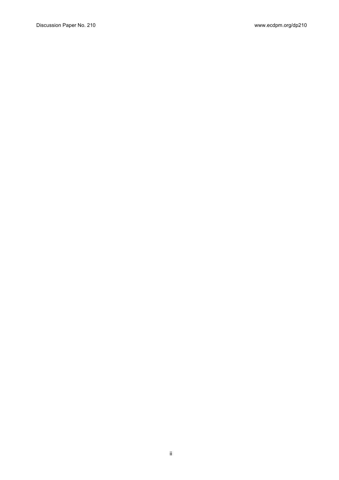ii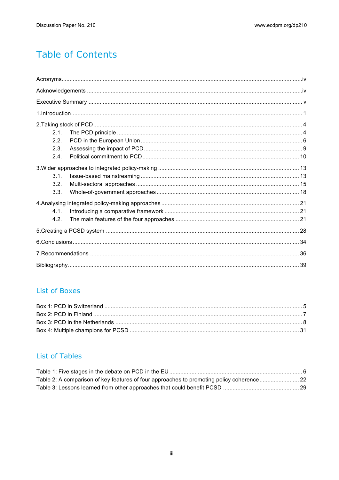# **Table of Contents**

| 2.1. |  |
|------|--|
| 2.2. |  |
| 2.3. |  |
| 2.4. |  |
|      |  |
| 3.1. |  |
| 3.2. |  |
| 3.3. |  |
|      |  |
| 4.1. |  |
| 4.2. |  |
|      |  |
|      |  |
|      |  |
|      |  |

# List of Boxes

# **List of Tables**

| Table 2: A comparison of key features of four approaches to promoting policy coherence22 |  |
|------------------------------------------------------------------------------------------|--|
|                                                                                          |  |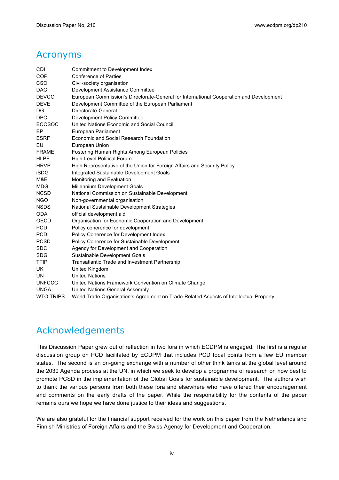# Acronyms

| <b>CDI</b>       | Commitment to Development Index                                                         |
|------------------|-----------------------------------------------------------------------------------------|
| <b>COP</b>       | <b>Conference of Parties</b>                                                            |
| <b>CSO</b>       | Civil-society organisation                                                              |
| <b>DAC</b>       | Development Assistance Committee                                                        |
| <b>DEVCO</b>     | European Commission's Directorate-General for International Cooperation and Development |
| <b>DEVE</b>      | Development Committee of the European Parliament                                        |
| DG               | Directorate-General                                                                     |
| <b>DPC</b>       | <b>Development Policy Committee</b>                                                     |
| <b>ECOSOC</b>    | United Nations Economic and Social Council                                              |
| EP               | European Parliament                                                                     |
| <b>ESRF</b>      | Economic and Social Research Foundation                                                 |
| EU               | European Union                                                                          |
| <b>FRAME</b>     | Fostering Human Rights Among European Policies                                          |
| <b>HLPF</b>      | High-Level Political Forum                                                              |
| <b>HRVP</b>      | High Representative of the Union for Foreign Affairs and Security Policy                |
| <b>iSDG</b>      | Integrated Sustainable Development Goals                                                |
| M&E              | Monitoring and Evaluation                                                               |
| <b>MDG</b>       | Millennium Development Goals                                                            |
| <b>NCSD</b>      | National Commission on Sustainable Development                                          |
| NGO              | Non-governmental organisation                                                           |
| <b>NSDS</b>      | National Sustainable Development Strategies                                             |
| ODA              | official development aid                                                                |
| <b>OECD</b>      | Organisation for Economic Cooperation and Development                                   |
| PCD              | Policy coherence for development                                                        |
| <b>PCDI</b>      | Policy Coherence for Development Index                                                  |
| <b>PCSD</b>      | Policy Coherence for Sustainable Development                                            |
| <b>SDC</b>       | Agency for Development and Cooperation                                                  |
| <b>SDG</b>       | Sustainable Development Goals                                                           |
| <b>TTIP</b>      | Transatlantic Trade and Investment Partnership                                          |
| UK.              | United Kingdom                                                                          |
| UN.              | <b>United Nations</b>                                                                   |
| <b>UNFCCC</b>    | United Nations Framework Convention on Climate Change                                   |
| <b>UNGA</b>      | United Nations General Assembly                                                         |
| <b>WTO TRIPS</b> | World Trade Organisation's Agreement on Trade-Related Aspects of Intellectual Property  |

# Acknowledgements

This Discussion Paper grew out of reflection in two fora in which ECDPM is engaged. The first is a regular discussion group on PCD facilitated by ECDPM that includes PCD focal points from a few EU member states. The second is an on-going exchange with a number of other think tanks at the global level around the 2030 Agenda process at the UN, in which we seek to develop a programme of research on how best to promote PCSD in the implementation of the Global Goals for sustainable development. The authors wish to thank the various persons from both these fora and elsewhere who have offered their encouragement and comments on the early drafts of the paper. While the responsibility for the contents of the paper remains ours we hope we have done justice to their ideas and suggestions.

We are also grateful for the financial support received for the work on this paper from the Netherlands and Finnish Ministries of Foreign Affairs and the Swiss Agency for Development and Cooperation.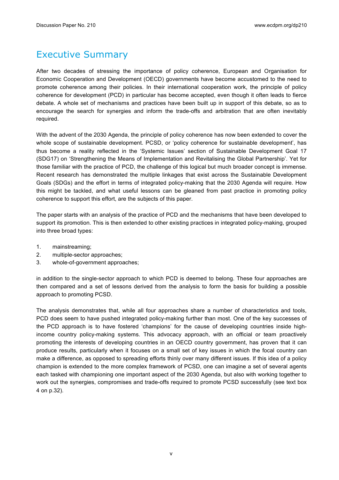# Executive Summary

After two decades of stressing the importance of policy coherence, European and Organisation for Economic Cooperation and Development (OECD) governments have become accustomed to the need to promote coherence among their policies. In their international cooperation work, the principle of policy coherence for development (PCD) in particular has become accepted, even though it often leads to fierce debate. A whole set of mechanisms and practices have been built up in support of this debate, so as to encourage the search for synergies and inform the trade-offs and arbitration that are often inevitably required.

With the advent of the 2030 Agenda, the principle of policy coherence has now been extended to cover the whole scope of sustainable development. PCSD, or 'policy coherence for sustainable development', has thus become a reality reflected in the 'Systemic Issues' section of Sustainable Development Goal 17 (SDG17) on 'Strengthening the Means of Implementation and Revitalising the Global Partnership'. Yet for those familiar with the practice of PCD, the challenge of this logical but much broader concept is immense. Recent research has demonstrated the multiple linkages that exist across the Sustainable Development Goals (SDGs) and the effort in terms of integrated policy-making that the 2030 Agenda will require. How this might be tackled, and what useful lessons can be gleaned from past practice in promoting policy coherence to support this effort, are the subjects of this paper.

The paper starts with an analysis of the practice of PCD and the mechanisms that have been developed to support its promotion. This is then extended to other existing practices in integrated policy-making, grouped into three broad types:

- 1. mainstreaming;
- 2. multiple-sector approaches;
- 3. whole-of-government approaches;

in addition to the single-sector approach to which PCD is deemed to belong. These four approaches are then compared and a set of lessons derived from the analysis to form the basis for building a possible approach to promoting PCSD.

The analysis demonstrates that, while all four approaches share a number of characteristics and tools, PCD does seem to have pushed integrated policy-making further than most. One of the key successes of the PCD approach is to have fostered 'champions' for the cause of developing countries inside highincome country policy-making systems. This advocacy approach, with an official or team proactively promoting the interests of developing countries in an OECD country government, has proven that it can produce results, particularly when it focuses on a small set of key issues in which the focal country can make a difference, as opposed to spreading efforts thinly over many different issues. If this idea of a policy champion is extended to the more complex framework of PCSD, one can imagine a set of several agents each tasked with championing one important aspect of the 2030 Agenda, but also with working together to work out the synergies, compromises and trade-offs required to promote PCSD successfully (see text box 4 on p.32).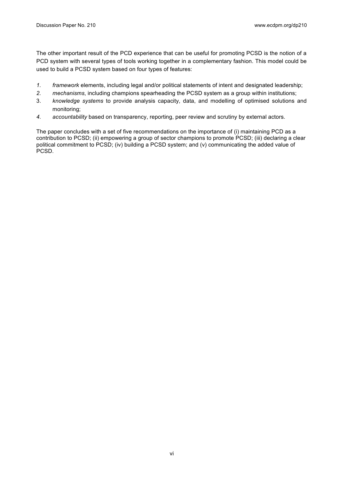The other important result of the PCD experience that can be useful for promoting PCSD is the notion of a PCD system with several types of tools working together in a complementary fashion. This model could be used to build a PCSD system based on four types of features:

- 1. *framework* elements, including legal and/or political statements of intent and designated leadership;
- 2. *mechanisms*, including champions spearheading the PCSD system as a group within institutions:
- 3. *knowledge systems* to provide analysis capacity, data, and modelling of optimised solutions and monitoring;
- 4. *accountability* based on transparency, reporting, peer review and scrutiny by external actors.

The paper concludes with a set of five recommendations on the importance of (i) maintaining PCD as a contribution to PCSD; (ii) empowering a group of sector champions to promote PCSD; (iii) declaring a clear political commitment to PCSD; (iv) building a PCSD system; and (v) communicating the added value of PCSD.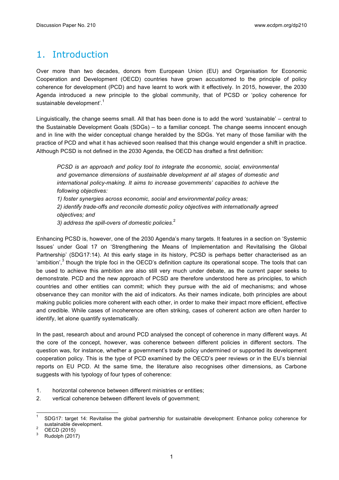# 1. Introduction

Over more than two decades, donors from European Union (EU) and Organisation for Economic Cooperation and Development (OECD) countries have grown accustomed to the principle of policy coherence for development (PCD) and have learnt to work with it effectively. In 2015, however, the 2030 Agenda introduced a new principle to the global community, that of PCSD or 'policy coherence for sustainable development'.<sup>1</sup>

Linguistically, the change seems small. All that has been done is to add the word 'sustainable' – central to the Sustainable Development Goals (SDGs) – to a familiar concept. The change seems innocent enough and in line with the wider conceptual change heralded by the SDGs. Yet many of those familiar with the practice of PCD and what it has achieved soon realised that this change would engender a shift in practice. Although PCSD is not defined in the 2030 Agenda, the OECD has drafted a first definition:

*PCSD is an approach and policy tool to integrate the economic, social, environmental* and governance dimensions of sustainable development at all stages of domestic and *international policy-making. It aims to increase governments' capacities to achieve the following#objectives:*

1) foster synergies across economic, social and environmental policy areas;

2) identify trade-offs and reconcile domestic policy objectives with internationally agreed *objectives*; and

3) address the spill-overs of domestic policies.<sup>2</sup>

Enhancing PCSD is, however, one of the 2030 Agenda's many targets. It features in a section on 'Systemic Issues' under Goal 17 on 'Strengthening the Means of Implementation and Revitalising the Global Partnership' (SDG17:14). At this early stage in its history, PCSD is perhaps better characterised as an 'ambition', $3$  though the triple foci in the OECD's definition capture its operational scope. The tools that can be used to achieve this ambition are also still very much under debate, as the current paper seeks to demonstrate. PCD and the new approach of PCSD are therefore understood here as principles, to which countries and other entities can commit; which they pursue with the aid of mechanisms; and whose observance they can monitor with the aid of indicators. As their names indicate, both principles are about making public policies more coherent with each other, in order to make their impact more efficient, effective and credible. While cases of incoherence are often striking, cases of coherent action are often harder to identify, let alone quantify systematically.

In the past, research about and around PCD analysed the concept of coherence in many different ways. At the core of the concept, however, was coherence between different policies in different sectors. The question was, for instance, whether a government's trade policy undermined or supported its development cooperation policy. This is the type of PCD examined by the OECD's peer reviews or in the EU's biennial reports on EU PCD. At the same time, the literature also recognises other dimensions, as Carbone suggests with his typology of four types of coherence:

- 1. horizontal coherence between different ministries or entities:
- 2. vertical coherence between different levels of government;

 $1$  SDG17: target 14: Revitalise the global partnership for sustainable development: Enhance policy coherence for sustainable development.<br>
<sup>2</sup> OECD (2015)<br>
<sup>3</sup> Rudolph (2017)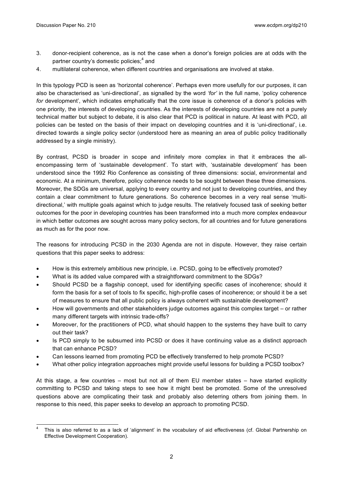- 3. donor-recipient coherence, as is not the case when a donor's foreign policies are at odds with the partner country's domestic policies;<sup>4</sup> and
- 4. multilateral coherence, when different countries and organisations are involved at stake.

In this typology PCD is seen as 'horizontal coherence'. Perhaps even more usefully for our purposes, it can also be characterised as 'uni-directional', as signalled by the word 'for' in the full name, 'policy coherence *for* development', which indicates emphatically that the core issue is coherence of a donor's policies with one priority, the interests of developing countries. As the interests of developing countries are not a purely technical matter but subject to debate, it is also clear that PCD is political in nature. At least with PCD, all policies can be tested on the basis of their impact on developing countries and it is 'uni-directional', i.e. directed towards a single policy sector (understood here as meaning an area of public policy traditionally addressed by a single ministry).

By contrast, PCSD is broader in scope and infinitely more complex in that it embraces the allencompassing term of 'sustainable development'. To start with, 'sustainable development' has been understood since the 1992 Rio Conference as consisting of three dimensions: social, environmental and economic. At a minimum, therefore, policy coherence needs to be sought between these three dimensions. Moreover, the SDGs are universal, applying to every country and not just to developing countries, and they contain a clear commitment to future generations. So coherence becomes in a very real sense 'multidirectional,' with multiple goals against which to judge results. The relatively focused task of seeking better outcomes for the poor in developing countries has been transformed into a much more complex endeavour in which better outcomes are sought across many policy sectors, for all countries and for future generations as much as for the poor now.

The reasons for introducing PCSD in the 2030 Agenda are not in dispute. However, they raise certain questions that this paper seeks to address:

- How is this extremely ambitious new principle, i.e. PCSD, going to be effectively promoted?
- What is its added value compared with a straightforward commitment to the SDGs?
- Should PCSD be a flagship concept, used for identifying specific cases of incoherence; should it form the basis for a set of tools to fix specific, high-profile cases of incoherence; or should it be a set of measures to ensure that all public policy is always coherent with sustainable development?
- How will governments and other stakeholders judge outcomes against this complex target or rather many different targets with intrinsic trade-offs?
- Moreover, for the practitioners of PCD, what should happen to the systems they have built to carry out their task?
- Is PCD simply to be subsumed into PCSD or does it have continuing value as a distinct approach that can enhance PCSD?
- Can lessons learned from promoting PCD be effectively transferred to help promote PCSD?
- What other policy integration approaches might provide useful lessons for building a PCSD toolbox?

At this stage, a few countries – most but not all of them EU member states – have started explicitly committing to PCSD and taking steps to see how it might best be promoted. Some of the unresolved questions above are complicating their task and probably also deterring others from joining them. In response to this need, this paper seeks to develop an approach to promoting PCSD.

This is also referred to as a lack of 'alignment' in the vocabulary of aid effectiveness (cf. Global Partnership on Effective Development Cooperation).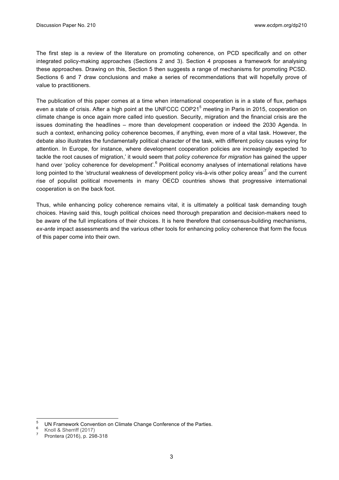The first step is a review of the literature on promoting coherence, on PCD specifically and on other integrated policy-making approaches (Sections 2 and 3). Section 4 proposes a framework for analysing these approaches. Drawing on this, Section 5 then suggests a range of mechanisms for promoting PCSD. Sections 6 and 7 draw conclusions and make a series of recommendations that will hopefully prove of value to practitioners.

The publication of this paper comes at a time when international cooperation is in a state of flux, perhaps even a state of crisis. After a high point at the UNFCCC COP21<sup>5</sup> meeting in Paris in 2015, cooperation on climate change is once again more called into question. Security, migration and the financial crisis are the issues dominating the headlines – more than development cooperation or indeed the 2030 Agenda. In such a context, enhancing policy coherence becomes, if anything, even more of a vital task. However, the debate also illustrates the fundamentally political character of the task, with different policy causes vying for attention. In Europe, for instance, where development cooperation policies are increasingly expected 'to tackle the root causes of migration,' it would seem that *policy coherence for migration* has gained the upper hand over 'policy coherence for development'.<sup>6</sup> Political economy analyses of international relations have long pointed to the 'structural weakness of development policy vis-à-vis other policy areas'<sup>7</sup> and the current rise of populist political movements in many OECD countries shows that progressive international cooperation is on the back foot.

Thus, while enhancing policy coherence remains vital, it is ultimately a political task demanding tough choices. Having said this, tough political choices need thorough preparation and decision-makers need to be aware of the full implications of their choices. It is here therefore that consensus-building mechanisms,  $ex$ -ante impact assessments and the various other tools for enhancing policy coherence that form the focus of this paper come into their own.

<sup>!!!!!!!!!!!!!!!!!!!!!!!!!!!!!!!!!!!!!!!!!!!!!!!!!!!!!!!</sup> <sup>5</sup> UN!Framework!Convention!on!Climate!Change!Conference!of!the!Parties. <sup>6</sup> Knoll!&!Sherriff!(2017) <sup>7</sup> Prontera!(2016), p.!298J318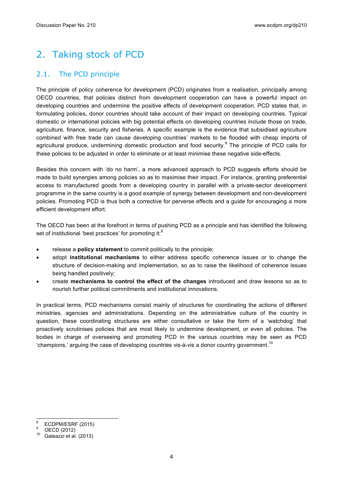# 2. Taking stock of PCD

## 2.1. The PCD principle

The principle of policy coherence for development (PCD) originates from a realisation, principally among OECD countries, that policies distinct from development cooperation can have a powerful impact on developing countries and undermine the positive effects of development cooperation. PCD states that, in formulating policies, donor countries should take account of their impact on developing countries. Typical domestic or international policies with big potential effects on developing countries include those on trade, agriculture, finance, security and fisheries. A specific example is the evidence that subsidised agriculture combined with free trade can cause developing countries' markets to be flooded with cheap imports of agricultural produce, undermining domestic production and food security.<sup>8</sup> The principle of PCD calls for these policies to be adjusted in order to eliminate or at least minimise these negative side-effects.

Besides this concern with 'do no harm', a more advanced approach to PCD suggests efforts should be made to build synergies among policies so as to maximise their impact. For instance, granting preferential access to manufactured goods from a developing country in parallel with a private-sector development programme in the same country is a good example of synergy between development and non-development policies. Promoting PCD is thus both a corrective for perverse effects and a guide for encouraging a more efficient development effort.

The OECD has been at the forefront in terms of pushing PCD as a principle and has identified the following set of institutional 'best practices' for promoting it:<sup>9</sup>

- release a **policy statement** to commit politically to the principle;
- adopt **institutional mechanisms** to either address specific coherence issues or to change the structure of decision-making and implementation, so as to raise the likelihood of coherence issues being handled positively;
- create **mechanisms to control the effect of the changes** introduced and draw lessons so as to nourish further political commitments and institutional innovations.

In practical terms, PCD mechanisms consist mainly of structures for coordinating the actions of different ministries, agencies and administrations. Depending on the administrative culture of the country in question, these coordinating structures are either consultative or take the form of a 'watchdog' that proactively scrutinises policies that are most likely to undermine development, or even all policies. The bodies in charge of overseeing and promoting PCD in the various countries may be seen as PCD 'champions,' arguing the case of developing countries vis-à-vis a donor country government.<sup>10</sup>

 $\frac{8}{9}$  ECDPM/ESRF (2015)<br>  $\frac{10}{10}$  Galeazzi et al. (2013)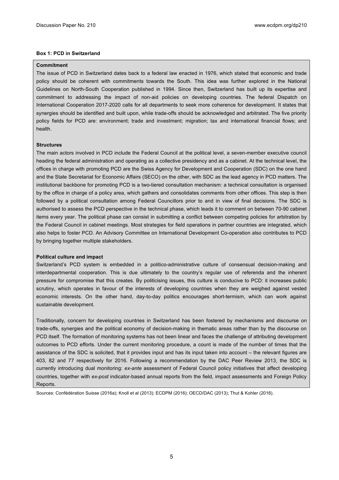#### Box 1: PCD in Switzerland

#### **Commitment**

The issue of PCD in Switzerland dates back to a federal law enacted in 1976, which stated that economic and trade policy should be coherent with commitments towards the South. This idea was further explored in the National Guidelines on North-South Cooperation published in 1994. Since then, Switzerland has built up its expertise and commitment to addressing the impact of non-aid policies on developing countries. The federal Dispatch on International Cooperation 2017-2020 calls for all departments to seek more coherence for development. It states that synergies should be identified and built upon, while trade-offs should be acknowledged and arbitrated. The five priority policy fields for PCD are: environment; trade and investment; migration; tax and international financial flows; and health.

#### **Structures**

The main actors involved in PCD include the Federal Council at the political level, a seven-member executive council heading the federal administration and operating as a collective presidency and as a cabinet. At the technical level, the offices in charge with promoting PCD are the Swiss Agency for Development and Cooperation (SDC) on the one hand and the State Secretariat for Economic Affairs (SECO) on the other, with SDC as the lead agency in PCD matters. The institutional backbone for promoting PCD is a two-tiered consultation mechanism: a technical consultation is organised by the office in charge of a policy area, which gathers and consolidates comments from other offices. This step is then followed by a political consultation among Federal Councillors prior to and in view of final decisions. The SDC is authorised to assess the PCD perspective in the technical phase, which leads it to comment on between 70-90 cabinet items every year. The political phase can consist in submitting a conflict between competing policies for arbitration by the Federal Council in cabinet meetings. Most strategies for field operations in partner countries are integrated, which also helps to foster PCD. An Advisory Committee on International Development Co-operation also contributes to PCD by bringing together multiple stakeholders.

#### Political culture and impact

Switzerland's PCD system is embedded in a politico-administrative culture of consensual decision-making and interdepartmental cooperation. This is due ultimately to the country's regular use of referenda and the inherent pressure for compromise that this creates. By politicising issues, this culture is conducive to PCD: it increases public scrutiny, which operates in favour of the interests of developing countries when they are weighed against vested economic interests. On the other hand, day-to-day politics encourages short-termism, which can work against sustainable development.

Traditionally, concern for developing countries in Switzerland has been fostered by mechanisms and discourse on trade-offs, synergies and the political economy of decision-making in thematic areas rather than by the discourse on PCD itself. The formation of monitoring systems has not been linear and faces the challenge of attributing development outcomes to PCD efforts. Under the current monitoring procedure, a count is made of the number of times that the assistance of the SDC is solicited, that it provides input and has its input taken into account – the relevant figures are 403, 82 and 77 respectively for 2016. Following a recommendation by the DAC Peer Review 2013, the SDC is currently introducing dual monitoring: *ex-ante* assessment of Federal Council policy initiatives that affect developing countries, together with ex-post indicator-based annual reports from the field, impact assessments and Foreign Policy Reports.

Sources: Confédération Suisse (2016a); Knoll et al (2013); ECDPM (2016); OECD/DAC (2013); Thut & Kohler (2016).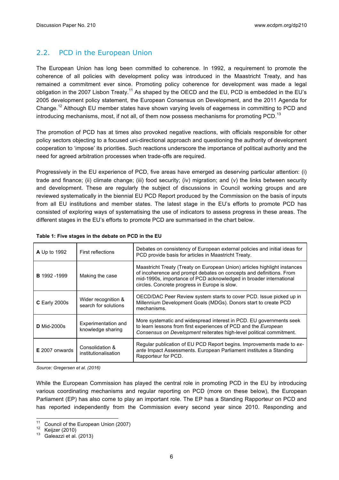## 2.2. PCD in the European Union

The European Union has long been committed to coherence. In 1992, a requirement to promote the coherence of all policies with development policy was introduced in the Maastricht Treaty, and has remained a commitment ever since. Promoting policy coherence for development was made a legal obligation in the 2007 Lisbon Treaty.<sup>11</sup> As shaped by the OECD and the EU, PCD is embedded in the EU's 2005 development policy statement, the European Consensus on Development, and the 2011 Agenda for Change.<sup>12</sup> Although EU member states have shown varying levels of eagerness in committing to PCD and introducing mechanisms, most, if not all, of them now possess mechanisms for promoting PCD.<sup>13</sup>

The promotion of PCD has at times also provoked negative reactions, with officials responsible for other policy sectors objecting to a focused uni-directional approach and questioning the authority of development cooperation to 'impose' its priorities. Such reactions underscore the importance of political authority and the need for agreed arbitration processes when trade-offs are required.

Progressively in the EU experience of PCD, five areas have emerged as deserving particular attention: (i) trade and finance; (ii) climate change; (iii) food security; (iv) migration; and (v) the links between security and development. These are regularly the subject of discussions in Council working groups and are reviewed systematically in the biennial EU PCD Report produced by the Commission on the basis of inputs from all EU institutions and member states. The latest stage in the EU's efforts to promote PCD has consisted of exploring ways of systematising the use of indicators to assess progress in these areas. The different stages in the EU's efforts to promote PCD are summarised in the chart below.

| <b>A</b> Up to 1992 | <b>First reflections</b>                    | Debates on consistency of European external policies and initial ideas for<br>PCD provide basis for articles in Maastricht Treaty.                                                                                                                                      |
|---------------------|---------------------------------------------|-------------------------------------------------------------------------------------------------------------------------------------------------------------------------------------------------------------------------------------------------------------------------|
| <b>B</b> 1992 -1999 | Making the case                             | Maastricht Treaty (Treaty on European Union) articles highlight instances<br>of incoherence and prompt debates on concepts and definitions. From<br>mid-1990s, importance of PCD acknowledged in broader international<br>circles. Concrete progress in Europe is slow. |
| $C$ Early 2000s     | Wider recognition &<br>search for solutions | OECD/DAC Peer Review system starts to cover PCD. Issue picked up in<br>Millennium Development Goals (MDGs). Donors start to create PCD<br>mechanisms.                                                                                                                   |
| <b>D</b> Mid-2000s  | Experimentation and<br>knowledge sharing    | More systematic and widespread interest in PCD. EU governments seek<br>to learn lessons from first experiences of PCD and the European<br>Consensus on Development reiterates high-level political commitment.                                                          |
| E 2007 onwards      | Consolidation &<br>institutionalisation     | Regular publication of EU PCD Report begins. Improvements made to ex-<br>ante Impact Assessments. European Parliament institutes a Standing<br>Rapporteur for PCD.                                                                                                      |

#### Table 1: Five stages in the debate on PCD in the EU

*Source: Gregersen et al. (2016)* 

While the European Commission has played the central role in promoting PCD in the EU by introducing various coordinating mechanisms and regular reporting on PCD (more on these below), the European Parliament (EP) has also come to play an important role. The EP has a Standing Rapporteur on PCD and has reported independently from the Commission every second year since 2010. Responding and

<sup>&</sup>lt;sup>11</sup> Council of the European Union (2007)<br><sup>12</sup> Keijzer (2010)<br><sup>13</sup> Galeazzi et al. (2013)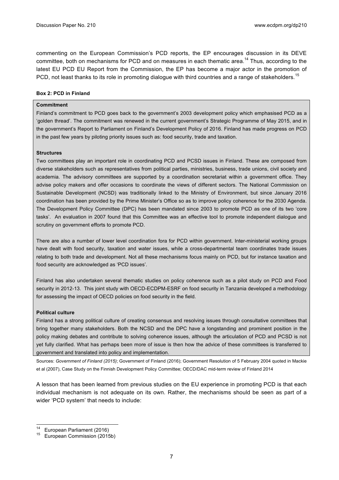commenting on the European Commission's PCD reports, the EP encourages discussion in its DEVE committee, both on mechanisms for PCD and on measures in each thematic area.<sup>14</sup> Thus, according to the latest EU PCD EU Report from the Commission, the EP has become a major actor in the promotion of PCD, not least thanks to its role in promoting dialogue with third countries and a range of stakeholders.<sup>15</sup>

#### Box 2: PCD in Finland

#### **Commitment**

Finland's commitment to PCD goes back to the government's 2003 development policy which emphasised PCD as a 'golden thread'. The commitment was renewed in the current government's Strategic Programme of May 2015, and in the government's Report to Parliament on Finland's Development Policy of 2016. Finland has made progress on PCD in the past few years by piloting priority issues such as: food security, trade and taxation.

#### **Structures**

Two committees play an important role in coordinating PCD and PCSD issues in Finland. These are composed from diverse stakeholders such as representatives from political parties, ministries, business, trade unions, civil society and academia. The advisory committees are supported by a coordination secretariat within a government office. They advise policy makers and offer occasions to coordinate the views of different sectors. The National Commission on Sustainable Development (NCSD) was traditionally linked to the Ministry of Environment, but since January 2016 coordination has been provided by the Prime Minister's Office so as to improve policy coherence for the 2030 Agenda. The Development Policy Committee (DPC) has been mandated since 2003 to promote PCD as one of its two 'core tasks'. An evaluation in 2007 found that this Committee was an effective tool to promote independent dialogue and scrutiny on government efforts to promote PCD.

There are also a number of lower level coordination fora for PCD within government. Inter-ministerial working groups have dealt with food security, taxation and water issues, while a cross-departmental team coordinates trade issues relating to both trade and development. Not all these mechanisms focus mainly on PCD, but for instance taxation and food security are acknowledged as 'PCD issues'.

Finland has also undertaken several thematic studies on policy coherence such as a pilot study on PCD and Food security in 2012-13. This joint study with OECD-ECDPM-ESRF on food security in Tanzania developed a methodology for assessing the impact of OECD policies on food security in the field.

#### **Political culture**

Finland has a strong political culture of creating consensus and resolving issues through consultative committees that bring together many stakeholders. Both the NCSD and the DPC have a longstanding and prominent position in the policy making debates and contribute to solving coherence issues, although the articulation of PCD and PCSD is not yet fully clarified. What has perhaps been more of issue is then how the advice of these committees is transferred to government and translated into policy and implementation.

Sources: Government of Finland (2015); Government of Finland (2016); Government Resolution of 5 February 2004 quoted in Mackie et al (2007), Case Study on the Finnish Development Policy Committee; OECD/DAC mid-term review of Finland 2014

A lesson that has been learned from previous studies on the EU experience in promoting PCD is that each individual mechanism is not adequate on its own. Rather, the mechanisms should be seen as part of a wider 'PCD system' that needs to include:

<sup>&</sup>lt;sup>14</sup> European Parliament (2016)<br><sup>15</sup> European Commission (2015b)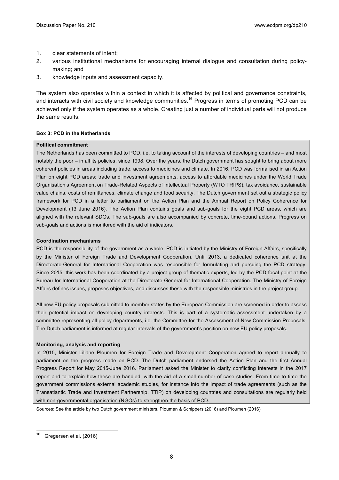- 1. clear statements of intent;
- 2. various institutional mechanisms for encouraging internal dialogue and consultation during policymaking; and
- 3. knowledge inputs and assessment capacity.

The system also operates within a context in which it is affected by political and governance constraints, and interacts with civil society and knowledge communities.<sup>16</sup> Progress in terms of promoting PCD can be achieved only if the system operates as a whole. Creating just a number of individual parts will not produce the same results.

#### Box 3: PCD in the Netherlands

#### **Political'commitment**

The Netherlands has been committed to PCD, i.e. to taking account of the interests of developing countries – and most notably the poor – in all its policies, since 1998. Over the years, the Dutch government has sought to bring about more coherent policies in areas including trade, access to medicines and climate. In 2016, PCD was formalised in an Action Plan on eight PCD areas: trade and investment agreements, access to affordable medicines under the World Trade Organisation's Agreement on Trade-Related Aspects of Intellectual Property (WTO TRIPS), tax avoidance, sustainable value chains, costs of remittances, climate change and food security. The Dutch government set out a strategic policy framework for PCD in a letter to parliament on the Action Plan and the Annual Report on Policy Coherence for Development (13 June 2016). The Action Plan contains goals and sub-goals for the eight PCD areas, which are aligned with the relevant SDGs. The sub-goals are also accompanied by concrete, time-bound actions. Progress on sub-goals and actions is monitored with the aid of indicators.

#### **Coordination'mechanisms**

PCD is the responsibility of the government as a whole. PCD is initiated by the Ministry of Foreign Affairs, specifically by the Minister of Foreign Trade and Development Cooperation. Until 2013, a dedicated coherence unit at the Directorate-General for International Cooperation was responsible for formulating and pursuing the PCD strategy. Since 2015, this work has been coordinated by a project group of thematic experts, led by the PCD focal point at the Bureau for International Cooperation at the Directorate-General for International Cooperation. The Ministry of Foreign Affairs defines issues, proposes objectives, and discusses these with the responsible ministries in the project group.

All new EU policy proposals submitted to member states by the European Commission are screened in order to assess their potential impact on developing country interests. This is part of a systematic assessment undertaken by a committee representing all policy departments, i.e. the Committee for the Assessment of New Commission Proposals. The Dutch parliament is informed at regular intervals of the government's position on new EU policy proposals.

#### **Monitoring, analysis and reporting**

In 2015, Minister Liliane Ploumen for Foreign Trade and Development Cooperation agreed to report annually to parliament on the progress made on PCD. The Dutch parliament endorsed the Action Plan and the first Annual Progress Report for May 2015-June 2016. Parliament asked the Minister to clarify conflicting interests in the 2017 report and to explain how these are handled, with the aid of a small number of case studies. From time to time the government commissions external academic studies, for instance into the impact of trade agreements (such as the Transatlantic Trade and Investment Partnership, TTIP) on developing countries and consultations are regularly held with non-governmental organisation (NGOs) to strengthen the basis of PCD.

Sources: See the article by two Dutch government ministers, Ploumen & Schippers (2016) and Ploumen (2016)

 $16$  Gregersen et al. (2016)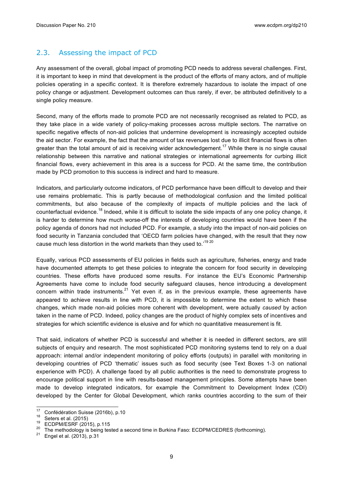## 2.3. Assessing the impact of PCD

Any assessment of the overall, global impact of promoting PCD needs to address several challenges. First, it is important to keep in mind that development is the product of the efforts of many actors, and of multiple policies operating in a specific context. It is therefore extremely hazardous to isolate the impact of one policy change or adjustment. Development outcomes can thus rarely, if ever, be attributed definitively to a single policy measure.

Second, many of the efforts made to promote PCD are not necessarily recognised as related to PCD, as they take place in a wide variety of policy-making processes across multiple sectors. The narrative on specific negative effects of non-aid policies that undermine development is increasingly accepted outside the aid sector. For example, the fact that the amount of tax revenues lost due to illicit financial flows is often greater than the total amount of aid is receiving wider acknowledgement.<sup>17</sup> While there is no single causal relationship between this narrative and national strategies or international agreements for curbing illicit financial flows, every achievement in this area is a success for PCD. At the same time, the contribution made by PCD promotion to this success is indirect and hard to measure.

Indicators, and particularly outcome indicators, of PCD performance have been difficult to develop and their use remains problematic. This is partly because of methodological confusion and the limited political commitments, but also because of the complexity of impacts of multiple policies and the lack of counterfactual evidence.<sup>18</sup> Indeed, while it is difficult to isolate the side impacts of any one policy change, it is harder to determine how much worse-off the interests of developing countries would have been if the policy agenda of donors had not included PCD. For example, a study into the impact of non-aid policies on food security in Tanzania concluded that 'OECD farm policies have changed, with the result that they now cause much less distortion in the world markets than they used to.'<sup>19 20</sup>

Equally, various PCD assessments of EU policies in fields such as agriculture, fisheries, energy and trade have documented attempts to get these policies to integrate the concern for food security in developing countries. These efforts have produced some results. For instance the EU's Economic Partnership Agreements have come to include food security safeguard clauses, hence introducing a development concern within trade instruments.<sup>21</sup> Yet even if, as in the previous example, these agreements have appeared to achieve results in line with PCD, it is impossible to determine the extent to which these changes, which made non-aid policies more coherent with development, were actually *caused* by action taken in the name of PCD. Indeed, policy changes are the product of highly complex sets of incentives and strategies for which scientific evidence is elusive and for which no quantitative measurement is fit.

That said, indicators of whether PCD is successful and whether it is needed in different sectors, are still subjects of enquiry and research. The most sophisticated PCD monitoring systems tend to rely on a dual approach: internal and/or independent monitoring of policy efforts (outputs) in parallel with monitoring in developing countries of PCD 'thematic' issues such as food security (see Text Boxes 1-3 on national experience with PCD). A challenge faced by all public authorities is the need to demonstrate progress to encourage political support in line with results-based management principles. Some attempts have been made to develop integrated indicators, for example the Commitment to Development Index (CDI) developed by the Center for Global Development, which ranks countries according to the sum of their

<sup>&</sup>lt;sup>17</sup> Confédération Suisse (2016b), p.10<br>
<sup>18</sup> Seters et al. (2015)<br>
ECDPM/ESRF (2015), p.115<br>
<sup>20</sup> The methodology is being tested a second time in Burkina Faso: ECDPM/CEDRES (forthcoming).<br>
<sup>21</sup> Engel et al. (2013), p.31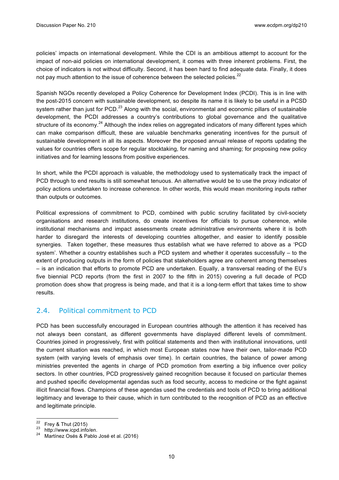policies' impacts on international development. While the CDI is an ambitious attempt to account for the impact of non-aid policies on international development, it comes with three inherent problems. First, the choice of indicators is not without difficulty. Second, it has been hard to find adequate data. Finally, it does not pay much attention to the issue of coherence between the selected policies. $^{22}$ 

Spanish NGOs recently developed a Policy Coherence for Development Index (PCDI). This is in line with the post-2015 concern with sustainable development, so despite its name it is likely to be useful in a PCSD system rather than just for PCD.<sup>23</sup> Along with the social, environmental and economic pillars of sustainable development, the PCDI addresses a country's contributions to global governance and the qualitative structure of its economy.<sup>24</sup> Although the index relies on aggregated indicators of many different types which can make comparison difficult, these are valuable benchmarks generating incentives for the pursuit of sustainable development in all its aspects. Moreover the proposed annual release of reports updating the values for countries offers scope for regular stocktaking, for naming and shaming; for proposing new policy initiatives and for learning lessons from positive experiences.

In short, while the PCDI approach is valuable, the methodology used to systematically track the impact of PCD through to end results is still somewhat tenuous. An alternative would be to use the proxy indicator of policy actions undertaken to increase coherence. In other words, this would mean monitoring inputs rather than outputs or outcomes.

Political expressions of commitment to PCD, combined with public scrutiny facilitated by civil-society organisations and research institutions, do create incentives for officials to pursue coherence, while institutional mechanisms and impact assessments create administrative environments where it is both harder to disregard the interests of developing countries altogether, and easier to identify possible synergies. Taken together, these measures thus establish what we have referred to above as a 'PCD system'. Whether a country establishes such a PCD system and whether it operates successfully – to the extent of producing outputs in the form of policies that stakeholders agree are coherent among themselves – is an indication that efforts to promote PCD are undertaken. Equally, a transversal reading of the EU's five biennial PCD reports (from the first in 2007 to the fifth in 2015) covering a full decade of PCD promotion does show that progress is being made, and that it is a long-term effort that takes time to show results.

## 2.4. Political commitment to PCD

PCD has been successfully encouraged in European countries although the attention it has received has not always been constant, as different governments have displayed different levels of commitment. Countries joined in progressively, first with political statements and then with institutional innovations, until the current situation was reached, in which most European states now have their own, tailor-made PCD system (with varying levels of emphasis over time). In certain countries, the balance of power among ministries prevented the agents in charge of PCD promotion from exerting a big influence over policy sectors. In other countries, PCD progressively gained recognition because it focused on particular themes and pushed specific developmental agendas such as food security, access to medicine or the fight against illicit financial flows. Champions of these agendas used the credentials and tools of PCD to bring additional legitimacy and leverage to their cause, which in turn contributed to the recognition of PCD as an effective and legitimate principle.

<sup>&</sup>lt;sup>22</sup> Frey & Thut (2015)<br>
<sup>23</sup> http://www.icpd.info/en.<br>
<sup>24</sup> Martínez Osés & Pablo José et al. (2016)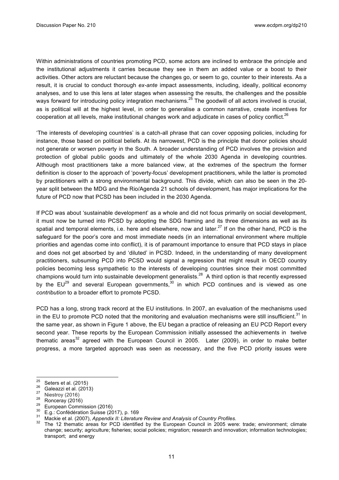Within administrations of countries promoting PCD, some actors are inclined to embrace the principle and the institutional adjustments it carries because they see in them an added value or a boost to their activities. Other actors are reluctant because the changes go, or seem to go, counter to their interests. As a result, it is crucial to conduct thorough *ex-ante* impact assessments, including, ideally, political economy analyses, and to use this lens at later stages when assessing the results, the challenges and the possible ways forward for introducing policy integration mechanisms.<sup>25</sup> The goodwill of all actors involved is crucial, as is political will at the highest level, in order to generalise a common narrative, create incentives for cooperation at all levels, make institutional changes work and adjudicate in cases of policy conflict. $^{26}$ 

'The interests of developing countries' is a catch-all phrase that can cover opposing policies, including for instance, those based on political beliefs. At its narrowest, PCD is the principle that donor policies should not generate or worsen poverty in the South. A broader understanding of PCD involves the provision and protection of global public goods and ultimately of the whole 2030 Agenda in developing countries. Although most practitioners take a more balanced view, at the extremes of the spectrum the former definition is closer to the approach of 'poverty-focus' development practitioners, while the latter is promoted by practitioners with a strong environmental background. This divide, which can also be seen in the 20year split between the MDG and the Rio/Agenda 21 schools of development, has major implications for the future of PCD now that PCSD has been included in the 2030 Agenda.

If PCD was about 'sustainable development' as a whole and did not focus primarily on social development, it must now be turned into PCSD by adopting the SDG framing and its three dimensions as well as its spatial and temporal elements, i.e. here and elsewhere, now and later.<sup>27</sup> If on the other hand. PCD is the safeguard for the poor's core and most immediate needs (in an international environment where multiple priorities and agendas come into conflict), it is of paramount importance to ensure that PCD stays in place and does not get absorbed by and 'diluted' in PCSD. Indeed, in the understanding of many development practitioners, subsuming PCD into PCSD would signal a regression that might result in OECD country policies becoming less sympathetic to the interests of developing countries since their most committed champions would turn into sustainable development generalists.<sup>28</sup> A third option is that recently expressed by the EU<sup>29</sup> and several European governments, $^{30}$  in which PCD continues and is viewed as one *contribution* to a broader effort to promote PCSD.

PCD has a long, strong track record at the EU institutions. In 2007, an evaluation of the mechanisms used in the EU to promote PCD noted that the monitoring and evaluation mechanisms were still insufficient.<sup>31</sup> In the same year, as shown in Figure 1 above, the EU began a practice of releasing an EU PCD Report every second year. These reports by the European Commission initially assessed the achievements in twelve thematic areas<sup>32</sup> agreed with the European Council in 2005. Later (2009), in order to make better progress, a more targeted approach was seen as necessary, and the five PCD priority issues were

<sup>&</sup>lt;sup>25</sup> Seters et al. (2015)<br><sup>26</sup> Galeazzi et al. (2013)<br><sup>27</sup> Niestroy (2016)<br><sup>28</sup> Ronceray (2016)<br><sup>30</sup> European Commission (2016)<br><sup>30</sup> E.g.: Confédération Suisse (2017), p. 169<br><sup>31</sup> Mackie et al. (2007), *Appendix II: Litera* change; security; agriculture; fisheries; social policies; migration; research and innovation; information technologies; transport; and energy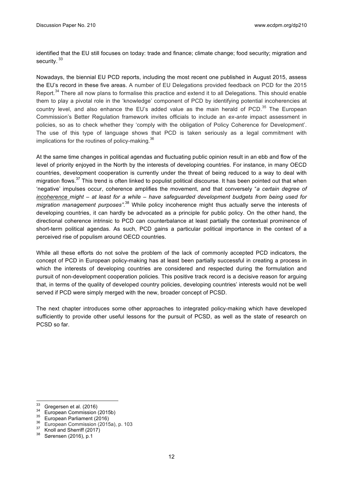identified that the EU still focuses on today: trade and finance; climate change; food security; migration and security.<sup>33</sup>

Nowadays, the biennial EU PCD reports, including the most recent one published in August 2015, assess the EU's record in these five areas. A number of EU Delegations provided feedback on PCD for the 2015 Report.<sup>34</sup> There all now plans to formalise this practice and extend it to all Delegations. This should enable them to play a pivotal role in the 'knowledge' component of PCD by identifying potential incoherencies at country level, and also enhance the EU's added value as the main herald of PCD. $35$  The European Commission's Better Regulation framework invites officials to include an *ex-ante* impact assessment in policies, so as to check whether they 'comply with the obligation of Policy Coherence for Development'. The use of this type of language shows that PCD is taken seriously as a legal commitment with implications for the routines of policy-making. $36$ 

At the same time changes in political agendas and fluctuating public opinion result in an ebb and flow of the level of priority enjoyed in the North by the interests of developing countries. For instance, in many OECD countries, development cooperation is currently under the threat of being reduced to a way to deal with migration flows.<sup>37</sup> This trend is often linked to populist political discourse. It has been pointed out that when 'negative' impulses occur, coherence amplifies the movement, and that conversely "*a certain degree of incoherence might – at least for a while – have safeguarded development budgets from being used for* migration management purposes".<sup>38</sup> While policy incoherence might thus actually serve the interests of developing countries, it can hardly be advocated as a principle for public policy. On the other hand, the directional coherence intrinsic to PCD can counterbalance at least partially the contextual prominence of short-term political agendas. As such, PCD gains a particular political importance in the context of a perceived rise of populism around OECD countries.

While all these efforts do not solve the problem of the lack of commonly accepted PCD indicators, the concept of PCD in European policy-making has at least been partially successful in creating a process in which the interests of developing countries are considered and respected during the formulation and pursuit of non-development cooperation policies. This positive track record is a decisive reason for arguing that, in terms of the quality of developed country policies, developing countries' interests would not be well served if PCD were simply merged with the new, broader concept of PCSD.

The next chapter introduces some other approaches to integrated policy-making which have developed sufficiently to provide other useful lessons for the pursuit of PCSD, as well as the state of research on PCSD so far.

- 
- 
- <sup>33</sup> Gregersen et al. (2016)<br><sup>34</sup> European Commission (2015b)<br><sup>35</sup> European Parliament (2016)<br><sup>36</sup> European Commission (2015a), p. 103<br><sup>37</sup> Knoll and Sherriff (2017)<br><sup>38</sup> Sørensen (2016), p.1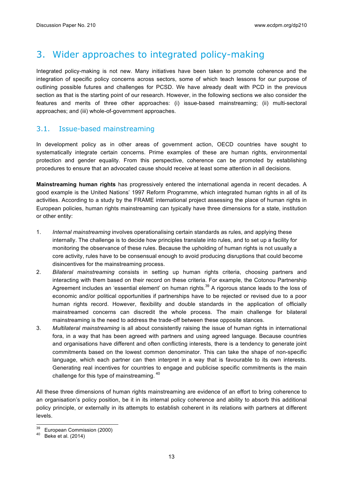# 3. Wider approaches to integrated policy-making

Integrated policy-making is not new. Many initiatives have been taken to promote coherence and the integration of specific policy concerns across sectors, some of which teach lessons for our purpose of outlining possible futures and challenges for PCSD. We have already dealt with PCD in the previous section as that is the starting point of our research. However, in the following sections we also consider the features and merits of three other approaches: (i) issue-based mainstreaming; (ii) multi-sectoral approaches; and (iii) whole-of-government approaches.

## 3.1. Issue-based mainstreaming

In development policy as in other areas of government action, OECD countries have sought to systematically integrate certain concerns. Prime examples of these are human rights, environmental protection and gender equality. From this perspective, coherence can be promoted by establishing procedures to ensure that an advocated cause should receive at least some attention in all decisions.

Mainstreaming human rights has progressively entered the international agenda in recent decades. A good example is the United Nations' 1997 Reform Programme, which integrated human rights in all of its activities. According to a study by the FRAME international project assessing the place of human rights in European policies, human rights mainstreaming can typically have three dimensions for a state, institution or other entity:

- 1. *Internal mainstreaming* involves operationalising certain standards as rules, and applying these internally. The challenge is to decide how principles translate into rules, and to set up a facility for monitoring the observance of these rules. Because the upholding of human rights is not usually a core activity, rules have to be consensual enough to avoid producing disruptions that could become disincentives for the mainstreaming process.
- 2. *Bilateral mainstreaming* consists in setting up human rights criteria, choosing partners and interacting with them based on their record on these criteria. For example, the Cotonou Partnership Agreement includes an 'essential element' on human rights.<sup>39</sup> A rigorous stance leads to the loss of economic and/or political opportunities if partnerships have to be rejected or revised due to a poor human rights record. However, flexibility and double standards in the application of officially mainstreamed concerns can discredit the whole process. The main challenge for bilateral mainstreaming is the need to address the trade-off between these opposite stances.
- 3. *Multilateral mainstreaming* is all about consistently raising the issue of human rights in international fora, in a way that has been agreed with partners and using agreed language. Because countries and organisations have different and often conflicting interests, there is a tendency to generate joint commitments based on the lowest common denominator. This can take the shape of non-specific language, which each partner can then interpret in a way that is favourable to its own interests. Generating real incentives for countries to engage and publicise specific commitments is the main challenge for this type of mainstreaming.  $40$

All these three dimensions of human rights mainstreaming are evidence of an effort to bring coherence to an organisation's policy position, be it in its internal policy coherence and ability to absorb this additional policy principle, or externally in its attempts to establish coherent in its relations with partners at different levels.

<sup>&</sup>lt;sup>39</sup> European Commission (2000)<br><sup>40</sup> Beke et al. (2014)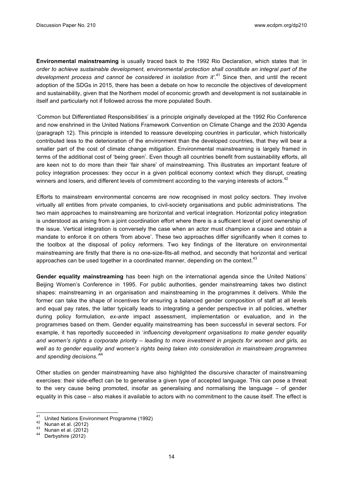**Environmental mainstreaming** is usually traced back to the 1992 Rio Declaration, which states that 'in order to achieve sustainable development, environmental protection shall constitute an integral part of the development process and cannot be considered in isolation from it<sup>'.41</sup> Since then, and until the recent adoption of the SDGs in 2015, there has been a debate on how to reconcile the objectives of development and sustainability, given that the Northern model of economic growth and development is not sustainable in itself and particularly not if followed across the more populated South.

'Common but Differentiated Responsibilities' is a principle originally developed at the 1992 Rio Conference and now enshrined in the United Nations Framework Convention on Climate Change and the 2030 Agenda (paragraph 12). This principle is intended to reassure developing countries in particular, which historically contributed less to the deterioration of the environment than the developed countries, that they will bear a smaller part of the cost of climate change mitigation. Environmental mainstreaming is largely framed in terms of the additional cost of 'being green'. Even though all countries benefit from sustainability efforts, all are keen not to do more than their 'fair share' of mainstreaming. This illustrates an important feature of policy integration processes: they occur in a given political economy context which they disrupt, creating winners and losers, and different levels of commitment according to the varying interests of actors.<sup>42</sup>

Efforts to mainstream environmental concerns are now recognised in most policy sectors. They involve virtually all entities from private companies, to civil-society organisations and public administrations. The two main approaches to mainstreaming are horizontal and vertical integration. Horizontal policy integration is understood as arising from a joint coordination effort where there is a sufficient level of joint ownership of the issue. Vertical integration is conversely the case when an actor must champion a cause and obtain a mandate to enforce it on others 'from above'. These two approaches differ significantly when it comes to the toolbox at the disposal of policy reformers. Two key findings of the literature on environmental mainstreaming are firstly that there is no one-size-fits-all method, and secondly that horizontal and vertical approaches can be used together in a coordinated manner, depending on the context. $43$ 

**Gender equality mainstreaming** has been high on the international agenda since the United Nations' Beijing Women's Conference in 1995. For public authorities, gender mainstreaming takes two distinct shapes: mainstreaming in an organisation and mainstreaming in the programmes it delivers. While the former can take the shape of incentives for ensuring a balanced gender composition of staff at all levels and equal pay rates, the latter typically leads to integrating a gender perspective in all policies, whether during policy formulation, ex-ante impact assessment, implementation or evaluation, and in the programmes based on them. Gender equality mainstreaming has been successful in several sectors. For example, it has reportedly succeeded in '*influencing development organisations to make gender equality* and women's rights a corporate priority – leading to more investment in projects for women and girls, as well as to gender equality and women's rights being taken into consideration in mainstream programmes and spending decisions.<sup>44</sup>

Other studies on gender mainstreaming have also highlighted the discursive character of mainstreaming exercises: their side-effect can be to generalise a given type of accepted language. This can pose a threat to the very cause being promoted, insofar as generalising and normalising the language  $-$  of gender equality in this case – also makes it available to actors with no commitment to the cause itself. The effect is

<sup>&</sup>lt;sup>41</sup> United Nations Environment Programme (1992)<br><sup>42</sup> Nunan et al. (2012)<br><sup>43</sup> Nunan et al. (2012)<br><sup>44</sup> Derbyshire (2012)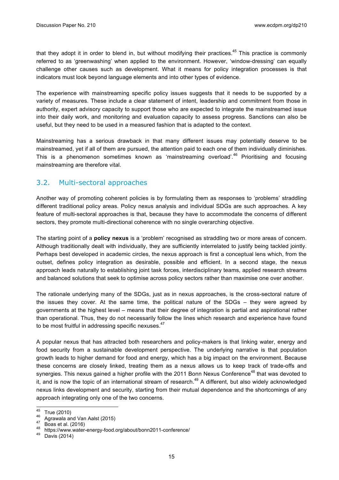that they adopt it in order to blend in, but without modifying their practices.<sup>45</sup> This practice is commonly referred to as 'greenwashing' when applied to the environment. However, 'window-dressing' can equally challenge other causes such as development. What it means for policy integration processes is that indicators must look beyond language elements and into other types of evidence.

The experience with mainstreaming specific policy issues suggests that it needs to be supported by a variety of measures. These include a clear statement of intent, leadership and commitment from those in authority, expert advisory capacity to support those who are expected to integrate the mainstreamed issue into their daily work, and monitoring and evaluation capacity to assess progress. Sanctions can also be useful, but they need to be used in a measured fashion that is adapted to the context.

Mainstreaming has a serious drawback in that many different issues may potentially deserve to be mainstreamed, yet if all of them are pursued, the attention paid to each one of them individually diminishes. This is a phenomenon sometimes known as 'mainstreaming overload'.<sup>46</sup> Prioritising and focusing mainstreaming are therefore vital.

## 3.2. Multi-sectoral approaches

Another way of promoting coherent policies is by formulating them as responses to 'problems' straddling different traditional policy areas. Policy nexus analysis and individual SDGs are such approaches. A key feature of multi-sectoral approaches is that, because they have to accommodate the concerns of different sectors, they promote multi-directional coherence with no single overarching objective.

The starting point of a **policy nexus** is a 'problem' recognised as straddling two or more areas of concern. Although traditionally dealt with individually, they are sufficiently interrelated to justify being tackled jointly. Perhaps best developed in academic circles, the nexus approach is first a conceptual lens which, from the outset, defines policy integration as desirable, possible and efficient. In a second stage, the nexus approach leads naturally to establishing joint task forces, interdisciplinary teams, applied research streams and balanced solutions that seek to optimise across policy sectors rather than maximise one over another.

The rationale underlying many of the SDGs, just as in nexus approaches, is the cross-sectoral nature of the issues they cover. At the same time, the political nature of the SDGs – they were agreed by governments at the highest level – means that their degree of integration is partial and aspirational rather than operational. Thus, they do not necessarily follow the lines which research and experience have found to be most fruitful in addressing specific nexuses. $47$ 

A popular nexus that has attracted both researchers and policy-makers is that linking water, energy and food security from a sustainable development perspective. The underlying narrative is that population growth leads to higher demand for food and energy, which has a big impact on the environment. Because these concerns are closely linked, treating them as a nexus allows us to keep track of trade-offs and synergies. This nexus gained a higher profile with the 2011 Bonn Nexus Conference<sup>48</sup> that was devoted to it, and is now the topic of an international stream of research.<sup>49</sup> A different, but also widely acknowledged nexus links development and security, starting from their mutual dependence and the shortcomings of any approach integrating only one of the two concerns.

<sup>&</sup>lt;sup>45</sup> True (2010)<br>
<sup>46</sup> Agrawala and Van Aalst (2015)<br>
<sup>47</sup> Boas et al. (2016)<br>
<sup>48</sup> https://www.water-energy-food.org/about/bonn2011-conference/<br>
<sup>49</sup> Davis (2014)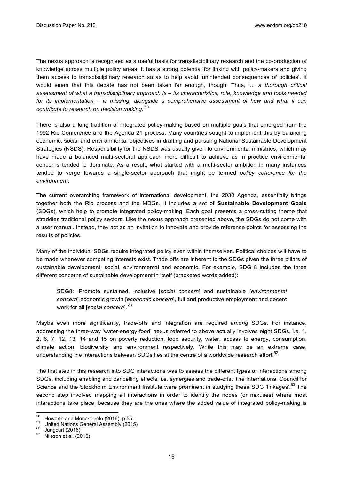The nexus approach is recognised as a useful basis for transdisciplinary research and the co-production of knowledge across multiple policy areas. It has a strong potential for linking with policy-makers and giving them access to transdisciplinary research so as to help avoid 'unintended consequences of policies'. It would seem that this debate has not been taken far enough, though. Thus, '... a thorough critical assessment of what a transdisciplinary approach is – *its characteristics, role, knowledge and tools needed for its implementation – is missing, alongside a comprehensive assessment of how and what it can contribute#to#research#on#decision#making.*' 50

There is also a long tradition of integrated policy-making based on multiple goals that emerged from the 1992 Rio Conference and the Agenda 21 process. Many countries sought to implement this by balancing economic, social and environmental objectives in drafting and pursuing National Sustainable Development Strategies (NSDS). Responsibility for the NSDS was usually given to environmental ministries, which may have made a balanced multi-sectoral approach more difficult to achieve as in practice environmental concerns tended to dominate. As a result, what started with a multi-sector ambition in many instances tended to verge towards a single-sector approach that might be termed *policy coherence for the environment*.

The current overarching framework of international development, the 2030 Agenda, essentially brings together both the Rio process and the MDGs. It includes a set of **Sustainable Development Goals** (SDGs), which help to promote integrated policy-making. Each goal presents a cross-cutting theme that straddles traditional policy sectors. Like the nexus approach presented above, the SDGs do not come with a user manual. Instead, they act as an invitation to innovate and provide reference points for assessing the results of policies.

Many of the individual SDGs require integrated policy even within themselves. Political choices will have to be made whenever competing interests exist. Trade-offs are inherent to the SDGs given the three pillars of sustainable development: social, environmental and economic. For example, SDG 8 includes the three different concerns of sustainable development in itself (bracketed words added):

SDG8: 'Promote sustained, inclusive [*social concern*] and sustainable [*environmental concern*] economic growth [*economic concern*], full and productive employment and decent work!for!all![*social#concern*]*.' 51*

Maybe even more significantly, trade-offs and integration are required *among* SDGs. For instance, addressing the three-way 'water-energy-food' nexus referred to above actually involves eight SDGs, i.e. 1, 2, 6, 7, 12, 13, 14 and 15 on poverty reduction, food security, water, access to energy, consumption, climate action, biodiversity and environment respectively. While this may be an extreme case, understanding the interactions between SDGs lies at the centre of a worldwide research effort.<sup>52</sup>

The first step in this research into SDG interactions was to assess the different types of interactions among SDGs, including enabling and cancelling effects, i.e. synergies and trade-offs. The International Council for Science and the Stockholm Environment Institute were prominent in studying these SDG 'linkages'.<sup>53</sup> The second step involved mapping all interactions in order to identify the nodes (or nexuses) where most interactions take place, because they are the ones where the added value of integrated policy-making is

<sup>&</sup>lt;sup>50</sup> Howarth and Monasterolo (2016), p.55.<br>
<sup>51</sup> United Nations General Assembly (2015)<br>
<sup>52</sup> Jungcurt (2016)<br>
<sup>53</sup> Nilsson et al. (2016)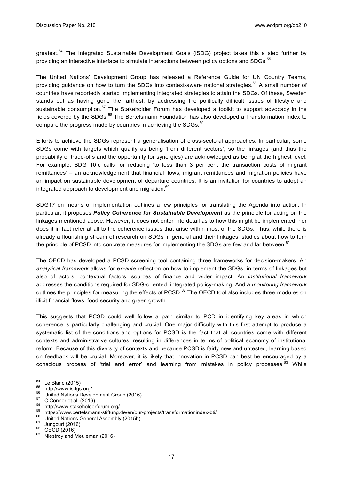greatest.<sup>54</sup> The Integrated Sustainable Development Goals (iSDG) project takes this a step further by providing an interactive interface to simulate interactions between policy options and SDGs.<sup>55</sup>

The United Nations' Development Group has released a Reference Guide for UN Country Teams, providing guidance on how to turn the SDGs into context-aware national strategies.<sup>56</sup> A small number of countries have reportedly started implementing integrated strategies to attain the SDGs. Of these, Sweden stands out as having gone the farthest, by addressing the politically difficult issues of lifestyle and sustainable consumption.<sup>57</sup> The Stakeholder Forum has developed a toolkit to support advocacy in the fields covered by the SDGs.<sup>58</sup> The Bertelsmann Foundation has also developed a Transformation Index to compare the progress made by countries in achieving the SDGs.<sup>59</sup>

Efforts to achieve the SDGs represent a generalisation of cross-sectoral approaches. In particular, some SDGs come with targets which qualify as being 'from different sectors', so the linkages (and thus the probability of trade-offs and the opportunity for synergies) are acknowledged as being at the highest level. For example, SDG 10.c calls for reducing 'to less than 3 per cent the transaction costs of migrant remittances' – an acknowledgement that financial flows, migrant remittances and migration policies have an impact on sustainable development of departure countries. It is an invitation for countries to adopt an integrated approach to development and migration.<sup>60</sup>

SDG17 on means of implementation outlines a few principles for translating the Agenda into action. In particular, it proposes *Policy Coherence for Sustainable Development* as the principle for acting on the linkages mentioned above. However, it does not enter into detail as to how this might be implemented, nor does it in fact refer at all to the coherence issues that arise within most of the SDGs. Thus, while there is already a flourishing stream of research on SDGs in general and their linkages, studies about how to turn the principle of PCSD into concrete measures for implementing the SDGs are few and far between.  $^{61}$ 

The OECD has developed a PCSD screening tool containing three frameworks for decision-makers. An *analytical framework* allows for *ex-ante* reflection on how to implement the SDGs, in terms of linkages but also of actors, contextual factors, sources of finance and wider impact. An *institutional framework* addresses the conditions required for SDG-oriented, integrated policy-making. And a *monitoring framework* outlines the principles for measuring the effects of PCSD.<sup>62</sup> The OECD tool also includes three modules on illicit financial flows, food security and green growth.

This suggests that PCSD could well follow a path similar to PCD in identifying key areas in which coherence is particularly challenging and crucial. One major difficulty with this first attempt to produce a systematic list of the conditions and options for PCSD is the fact that all countries come with different contexts and administrative cultures, resulting in differences in terms of political economy of institutional reform. Because of this diversity of contexts and because PCSD is fairly new and untested, learning based on feedback will be crucial. Moreover, it is likely that innovation in PCSD can best be encouraged by a conscious process of 'trial and error' and learning from mistakes in policy processes.<sup>63</sup> While

<sup>&</sup>lt;sup>54</sup> Le Blanc (2015)<br>
<sup>55</sup> http://www.isdgs.org/<br>
<sup>56</sup> United Nations Development Group (2016)<br>
<sup>57</sup> O'Connor et al. (2016)<br>
<sup>58</sup> http://www.stakeholderforum.org/<br>
<sup>59</sup> https://www.bertelsmann-stiftung.de/en/our-projects/t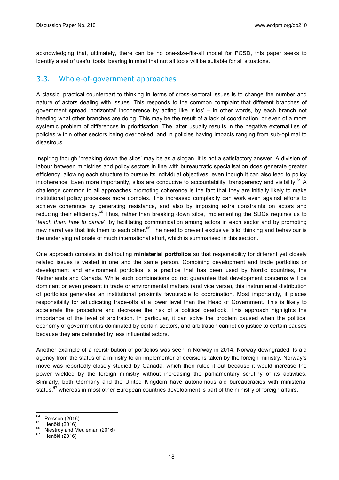acknowledging that, ultimately, there can be no one-size-fits-all model for PCSD, this paper seeks to identify a set of useful tools, bearing in mind that not all tools will be suitable for all situations.

## 3.3. Whole-of-government approaches

A classic, practical counterpart to thinking in terms of cross-sectoral issues is to change the number and nature of actors dealing with issues. This responds to the common complaint that different branches of government spread 'horizontal' incoherence by acting like 'silos' – in other words, by each branch not heeding what other branches are doing. This may be the result of a lack of coordination, or even of a more systemic problem of differences in prioritisation. The latter usually results in the negative externalities of policies within other sectors being overlooked, and in policies having impacts ranging from sub-optimal to disastrous.

Inspiring though 'breaking down the silos' may be as a slogan, it is not a satisfactory answer. A division of labour between ministries and policy sectors in line with bureaucratic specialisation does generate greater efficiency, allowing each structure to pursue its individual objectives, even though it can also lead to policy incoherence. Even more importantly, silos are conducive to accountability, transparency and visibility.<sup>64</sup> A challenge common to all approaches promoting coherence is the fact that they are initially likely to make institutional policy processes more complex. This increased complexity can work even against efforts to achieve coherence by generating resistance, and also by imposing extra constraints on actors and reducing their efficiency.<sup>65</sup> Thus, rather than breaking down silos, implementing the SDGs requires us to '*teach them how to dance*', by facilitating communication among actors in each sector and by promoting new narratives that link them to each other.<sup>66</sup> The need to prevent exclusive 'silo' thinking and behaviour is the underlying rationale of much international effort, which is summarised in this section.

One approach consists in distributing **ministerial portfolios** so that responsibility for different yet closely related issues is vested in one and the same person. Combining development and trade portfolios or development and environment portfolios is a practice that has been used by Nordic countries, the Netherlands and Canada. While such combinations do not quarantee that development concerns will be dominant or even present in trade or environmental matters (and vice versa), this instrumental distribution of portfolios generates an institutional proximity favourable to coordination. Most importantly, it places responsibility for adjudicating trade-offs at a lower level than the Head of Government. This is likely to accelerate the procedure and decrease the risk of a political deadlock. This approach highlights the importance of the level of arbitration. In particular, it can solve the problem caused when the political economy of government is dominated by certain sectors, and arbitration cannot do justice to certain causes because they are defended by less influential actors.

Another example of a redistribution of portfolios was seen in Norway in 2014. Norway downgraded its aid agency from the status of a ministry to an implementer of decisions taken by the foreign ministry. Norway's move was reportedly closely studied by Canada, which then ruled it out because it would increase the power wielded by the foreign ministry without increasing the parliamentary scrutiny of its activities. Similarly, both Germany and the United Kingdom have autonomous aid bureaucracies with ministerial status, $^{67}$  whereas in most other European countries development is part of the ministry of foreign affairs.

<sup>&</sup>lt;sup>64</sup> Persson (2016)<br><sup>65</sup> Henökl (2016)<br><sup>66</sup> Niestroy and Meuleman (2016)<br><sup>67</sup> Henökl (2016)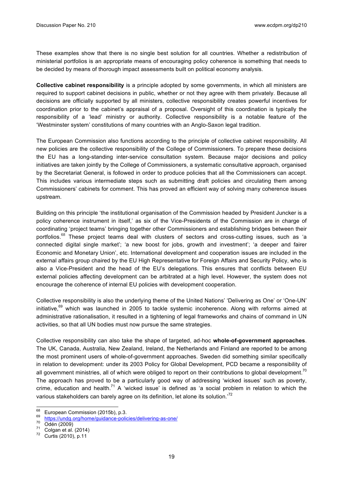These examples show that there is no single best solution for all countries. Whether a redistribution of ministerial portfolios is an appropriate means of encouraging policy coherence is something that needs to be decided by means of thorough impact assessments built on political economy analysis.

**Collective cabinet responsibility** is a principle adopted by some governments, in which all ministers are required to support cabinet decisions in public, whether or not they agree with them privately. Because all decisions are officially supported by all ministers, collective responsibility creates powerful incentives for coordination prior to the cabinet's appraisal of a proposal. Oversight of this coordination is typically the responsibility of a 'lead' ministry or authority. Collective responsibility is a notable feature of the 'Westminster system' constitutions of many countries with an Anglo-Saxon legal tradition.

The European Commission also functions according to the principle of collective cabinet responsibility. All new policies are the collective responsibility of the College of Commissioners. To prepare these decisions the EU has a long-standing inter-service consultation system. Because major decisions and policy initiatives are taken jointly by the College of Commissioners, a systematic consultative approach, organised by the Secretariat General, is followed in order to produce policies that all the Commissioners can accept. This includes various intermediate steps such as submitting draft policies and circulating them among Commissioners' cabinets for comment. This has proved an efficient way of solving many coherence issues upstream.

Building on this principle 'the institutional organisation of the Commission headed by President Juncker is a policy coherence instrument in itself,' as six of the Vice-Presidents of the Commission are in charge of coordinating 'project teams' bringing together other Commissioners and establishing bridges between their portfolios.<sup>68</sup> These project teams deal with clusters of sectors and cross-cutting issues, such as 'a connected digital single market'; 'a new boost for jobs, growth and investment'; 'a deeper and fairer Economic and Monetary Union', etc. International development and cooperation issues are included in the external affairs group chaired by the EU High Representative for Foreign Affairs and Security Policy, who is also a Vice-President and the head of the EU's delegations. This ensures that conflicts between EU external policies affecting development can be arbitrated at a high level. However, the system does not encourage the coherence of internal EU policies with development cooperation.

Collective responsibility is also the underlying theme of the United Nations' 'Delivering as One' or 'One-UN' initiative,<sup>69</sup> which was launched in 2005 to tackle systemic incoherence. Along with reforms aimed at administrative rationalisation, it resulted in a tightening of legal frameworks and chains of command in UN activities, so that all UN bodies must now pursue the same strategies.

Collective responsibility can also take the shape of targeted, ad-hoc whole-of-government approaches. The UK, Canada, Australia, New Zealand, Ireland, the Netherlands and Finland are reported to be among the most prominent users of whole-of-government approaches. Sweden did something similar specifically in relation to development: under its 2003 Policy for Global Development, PCD became a responsibility of all government ministries, all of which were obliged to report on their contributions to global development.<sup>70</sup> The approach has proved to be a particularly good way of addressing 'wicked issues' such as poverty, crime, education and health.<sup>71</sup> A 'wicked issue' is defined as 'a social problem in relation to which the various stakeholders can barely agree on its definition, let alone its solution.'<sup>72</sup>

<sup>&</sup>lt;sup>68</sup> European Commission (2015b), p.3.<br>
<sup>69</sup> https://undg.org/home/guidance-policies/delivering-as-one/ Odén (2009)<br>
<sup>71</sup> Colgan et al. (2014)<br>
<sup>72</sup> Curtis (2010), p.11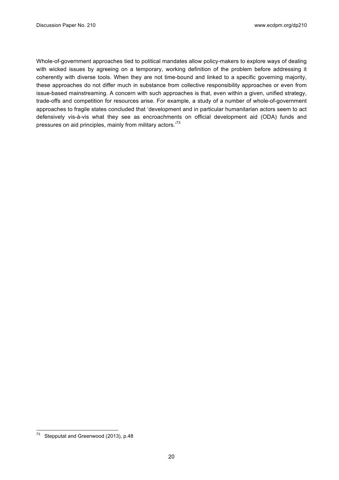Whole-of-government approaches tied to political mandates allow policy-makers to explore ways of dealing with wicked issues by agreeing on a temporary, working definition of the problem before addressing it coherently with diverse tools. When they are not time-bound and linked to a specific governing majority, these approaches do not differ much in substance from collective responsibility approaches or even from issue-based mainstreaming. A concern with such approaches is that, even within a given, unified strategy, trade-offs and competition for resources arise. For example, a study of a number of whole-of-government approaches to fragile states concluded that 'development and in particular humanitarian actors seem to act defensively vis-à-vis what they see as encroachments on official development aid (ODA) funds and pressures on aid principles, mainly from military actors.<sup>'73</sup>

<sup>73</sup> Stepputat and Greenwood (2013), p.48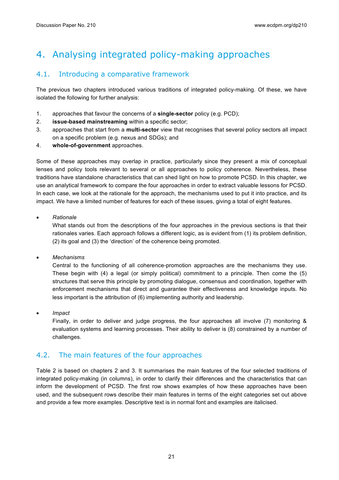# 4. Analysing integrated policy-making approaches

## 4.1. Introducing a comparative framework

The previous two chapters introduced various traditions of integrated policy-making. Of these, we have isolated the following for further analysis:

- 1. approaches that favour the concerns of a **single-sector** policy (e.g. PCD):
- 2. **issue-based mainstreaming** within a specific sector;
- 3. approaches that start from a **multi-sector** view that recognises that several policy sectors all impact on a specific problem (e.g. nexus and SDGs); and
- 4. **whole-of-government** approaches.

Some of these approaches may overlap in practice, particularly since they present a mix of conceptual lenses and policy tools relevant to several or all approaches to policy coherence. Nevertheless, these traditions have standalone characteristics that can shed light on how to promote PCSD. In this chapter, we use an analytical framework to compare the four approaches in order to extract valuable lessons for PCSD. In each case, we look at the rationale for the approach, the mechanisms used to put it into practice, and its impact. We have a limited number of features for each of these issues, giving a total of eight features.

• *Rationale*

What stands out from the descriptions of the four approaches in the previous sections is that their rationales varies. Each approach follows a different logic, as is evident from (1) its problem definition,  $(2)$  its goal and  $(3)$  the 'direction' of the coherence being promoted.

• *Mechanisms*

Central to the functioning of all coherence-promotion approaches are the mechanisms they use. These begin with (4) a legal (or simply political) commitment to a principle. Then come the  $(5)$ structures that serve this principle by promoting dialogue, consensus and coordination, together with enforcement mechanisms that direct and guarantee their effectiveness and knowledge inputs. No less important is the attribution of (6) implementing authority and leadership.

• *Impact*

Finally, in order to deliver and judge progress, the four approaches all involve (7) monitoring & evaluation systems and learning processes. Their ability to deliver is (8) constrained by a number of challenges.

## 4.2. The main features of the four approaches

Table 2 is based on chapters 2 and 3. It summarises the main features of the four selected traditions of integrated policy-making (in columns), in order to clarify their differences and the characteristics that can inform the development of PCSD. The first row shows examples of how these approaches have been used, and the subsequent rows describe their main features in terms of the eight categories set out above and provide a few more examples. Descriptive text is in normal font and examples are italicised.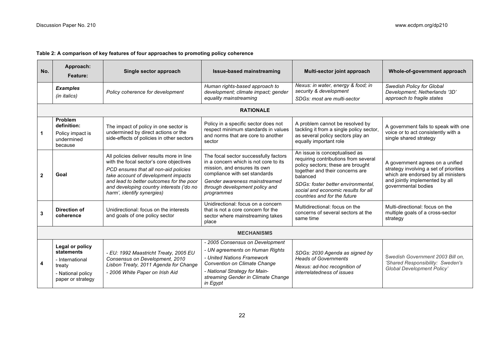#### Table 2: A comparison of key features of four approaches to promoting policy coherence

| No.            | Approach:<br>Feature:                                                                                 | Single sector approach                                                                                                                                                                                                                                                                     | <b>Issue-based mainstreaming</b>                                                                                                                                                                                                 | Multi-sector joint approach                                                                                                                                                                                                                                            | Whole-of-government approach                                                                                                                                               |  |
|----------------|-------------------------------------------------------------------------------------------------------|--------------------------------------------------------------------------------------------------------------------------------------------------------------------------------------------------------------------------------------------------------------------------------------------|----------------------------------------------------------------------------------------------------------------------------------------------------------------------------------------------------------------------------------|------------------------------------------------------------------------------------------------------------------------------------------------------------------------------------------------------------------------------------------------------------------------|----------------------------------------------------------------------------------------------------------------------------------------------------------------------------|--|
|                | <b>Examples</b><br>(in italics)                                                                       | Policy coherence for development                                                                                                                                                                                                                                                           | Human rights-based approach to<br>development; climate impact; gender<br>equality mainstreaming                                                                                                                                  | Nexus: in water, energy & food; in<br>security & development<br>SDGs: most are multi-sector                                                                                                                                                                            | Swedish Policy for Global<br>Development; Netherlands '3D'<br>approach to fragile states                                                                                   |  |
|                |                                                                                                       |                                                                                                                                                                                                                                                                                            | <b>RATIONALE</b>                                                                                                                                                                                                                 |                                                                                                                                                                                                                                                                        |                                                                                                                                                                            |  |
| 1              | Problem<br>definition:<br>Policy impact is<br>undermined<br>because                                   | The impact of policy in one sector is<br>undermined by direct actions or the<br>side-effects of policies in other sectors                                                                                                                                                                  | Policy in a specific sector does not<br>respect minimum standards in values<br>and norms that are core to another<br>sector                                                                                                      | A problem cannot be resolved by<br>tackling it from a single policy sector,<br>as several policy sectors play an<br>equally important role                                                                                                                             | A government fails to speak with one<br>voice or to act consistently with a<br>single shared strategy                                                                      |  |
| $\overline{2}$ | Goal                                                                                                  | All policies deliver results more in line<br>with the focal sector's core objectives<br>PCD ensures that all non-aid policies<br>take account of development impacts<br>and lead to better outcomes for the poor<br>and developing country interests ('do no<br>harm', identify synergies) | The focal sector successfully factors<br>in a concern which is not core to its<br>mission, and ensures its own<br>compliance with set standards<br>Gender awareness mainstreamed<br>through development policy and<br>programmes | An issue is conceptualised as<br>requiring contributions from several<br>policy sectors; these are brought<br>together and their concerns are<br>balanced<br>SDGs: foster better environmental,<br>social and economic results for all<br>countries and for the future | A government agrees on a unified<br>strategy involving a set of priorities<br>which are endorsed by all ministers<br>and jointly implemented by all<br>governmental bodies |  |
| 3              | Unidirectional: focus on the interests<br>Direction of<br>and goals of one policy sector<br>coherence |                                                                                                                                                                                                                                                                                            | Unidirectional: focus on a concern<br>that is not a core concern for the<br>sector where mainstreaming takes<br>place                                                                                                            | Multidirectional: focus on the<br>concerns of several sectors at the<br>same time                                                                                                                                                                                      | Multi-directional: focus on the<br>multiple goals of a cross-sector<br>strategy                                                                                            |  |
|                | <b>MECHANISMS</b>                                                                                     |                                                                                                                                                                                                                                                                                            |                                                                                                                                                                                                                                  |                                                                                                                                                                                                                                                                        |                                                                                                                                                                            |  |
| 4              | Legal or policy<br>statements<br>- International<br>treaty<br>- National policy<br>paper or strategy  | - EU: 1992 Maastricht Treaty, 2005 EU<br>Consensus on Development, 2010<br>Lisbon Treaty, 2011 Agenda for Change<br>- 2006 White Paper on Irish Aid                                                                                                                                        | - 2005 Consensus on Development<br>- UN agreements on Human Rights<br>- United Nations Framework<br>Convention on Climate Change<br>- National Strategy for Main-<br>streaming Gender in Climate Change<br>in Egypt              | SDGs: 2030 Agenda as signed by<br><b>Heads of Governments</b><br>Nexus: ad-hoc recognition of<br>interrelatedness of issues                                                                                                                                            | Swedish Government 2003 Bill on,<br>'Shared Responsibility: Sweden's<br><b>Global Development Policy'</b>                                                                  |  |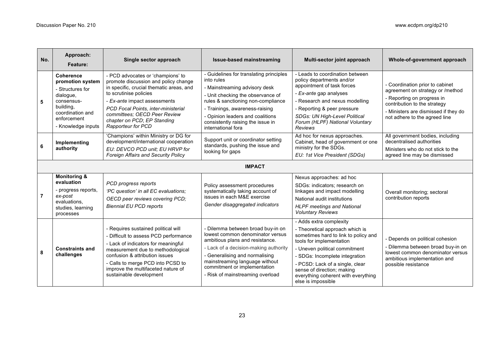| No.            | Approach:<br>Feature:                                                                                                                              | Single sector approach                                                                                                                                                                                                                                                                                                    | <b>Issue-based mainstreaming</b>                                                                                                                                                                                                                                                                   | Multi-sector joint approach                                                                                                                                                                                                                                                                                                     | Whole-of-government approach                                                                                                                                                                               |  |
|----------------|----------------------------------------------------------------------------------------------------------------------------------------------------|---------------------------------------------------------------------------------------------------------------------------------------------------------------------------------------------------------------------------------------------------------------------------------------------------------------------------|----------------------------------------------------------------------------------------------------------------------------------------------------------------------------------------------------------------------------------------------------------------------------------------------------|---------------------------------------------------------------------------------------------------------------------------------------------------------------------------------------------------------------------------------------------------------------------------------------------------------------------------------|------------------------------------------------------------------------------------------------------------------------------------------------------------------------------------------------------------|--|
| 5              | Coherence<br>promotion system<br>- Structures for<br>dialogue,<br>consensus-<br>building,<br>coordination and<br>enforcement<br>- Knowledge inputs | - PCD advocates or 'champions' to<br>promote discussion and policy change<br>in specific, crucial thematic areas, and<br>to scrutinise policies<br>- Ex-ante impact assessments<br><b>PCD Focal Points, inter-ministerial</b><br>committees; OECD Peer Review<br>chapter on PCD; EP Standing<br><b>Rapporteur for PCD</b> | - Guidelines for translating principles<br>into rules<br>- Mainstreaming advisory desk<br>- Unit checking the observance of<br>rules & sanctioning non-compliance<br>- Trainings, awareness-raising<br>- Opinion leaders and coalitions<br>consistently raising the issue in<br>international fora | - Leads to coordination between<br>policy departments and/or<br>appointment of task forces<br>- Ex-ante gap analyses<br>- Research and nexus modelling<br>- Reporting & peer pressure<br>SDGs: UN High-Level Political<br>Forum (HLPF) National Voluntary<br>Reviews                                                            | - Coordination prior to cabinet<br>agreement on strategy or /method<br>- Reporting on progress in<br>contribution to the strategy<br>- Ministers are dismissed if they do<br>not adhere to the agreed line |  |
| $\bf 6$        | Implementing<br>authority                                                                                                                          | 'Champions' within Ministry or DG for<br>Support unit or coordinator setting<br>development/international cooperation<br>standards, pushing the issue and<br>EU: DEVCO PCD unit; EU HRVP for<br>looking for gaps<br><b>Foreign Affairs and Security Policy</b>                                                            |                                                                                                                                                                                                                                                                                                    | Ad hoc for nexus approaches.<br>Cabinet, head of government or one<br>ministry for the SDGs.<br>EU: 1st Vice President (SDGs)                                                                                                                                                                                                   | All government bodies, including<br>decentralised authorities<br>Ministers who do not stick to the<br>agreed line may be dismissed                                                                         |  |
|                | <b>IMPACT</b>                                                                                                                                      |                                                                                                                                                                                                                                                                                                                           |                                                                                                                                                                                                                                                                                                    |                                                                                                                                                                                                                                                                                                                                 |                                                                                                                                                                                                            |  |
| $\overline{7}$ | <b>Monitoring &amp;</b><br>evaluation<br>- progress reports,<br>ex-post<br>evaluations,<br>studies, learning<br>processes                          | PCD progress reports<br>'PC question' in all EC evaluations;<br>OECD peer reviews covering PCD;<br><b>Biennial EU PCD reports</b>                                                                                                                                                                                         | Policy assessment procedures<br>systematically taking account of<br>issues in each M&E exercise<br>Gender disaggregated indicators                                                                                                                                                                 | Nexus approaches: ad hoc<br>SDGs: indicators; research on<br>linkages and impact modelling<br>National audit institutions<br><b>HLPF</b> meetings and National<br><b>Voluntary Reviews</b>                                                                                                                                      | Overall monitoring; sectoral<br>contribution reports                                                                                                                                                       |  |
| 8              | <b>Constraints and</b><br>challenges                                                                                                               | - Requires sustained political will<br>- Difficult to assess PCD performance<br>- Lack of indicators for meaningful<br>measurement due to methodological<br>confusion & attribution issues<br>- Calls to merge PCD into PCSD to<br>improve the multifaceted nature of<br>sustainable development                          | - Dilemma between broad buy-in on<br>lowest common denominator versus<br>ambitious plans and resistance.<br>- Lack of a decision-making authority<br>- Generalising and normalising<br>mainstreaming language without<br>commitment or implementation<br>- Risk of mainstreaming overload          | - Adds extra complexity<br>- Theoretical approach which is<br>sometimes hard to link to policy and<br>tools for implementation<br>- Uneven political commitment<br>- SDGs: Incomplete integration<br>- PCSD: Lack of a single, clear<br>sense of direction; making<br>everything coherent with everything<br>else is impossible | - Depends on political cohesion<br>- Dilemma between broad buy-in on<br>lowest common denominator versus<br>ambitious implementation and<br>possible resistance                                            |  |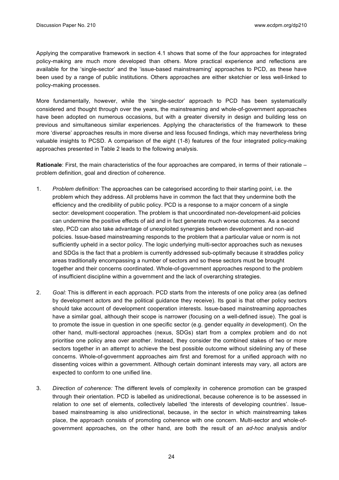Applying the comparative framework in section 4.1 shows that some of the four approaches for integrated policy-making are much more developed than others. More practical experience and reflections are available for the 'single-sector' and the 'issue-based mainstreaming' approaches to PCD, as these have been used by a range of public institutions. Others approaches are either sketchier or less well-linked to policy-making processes.

More fundamentally, however, while the 'single-sector' approach to PCD has been systematically considered and thought through over the years, the mainstreaming and whole-of-government approaches have been adopted on numerous occasions, but with a greater diversity in design and building less on previous and simultaneous similar experiences. Applying the characteristics of the framework to these more 'diverse' approaches results in more diverse and less focused findings, which may nevertheless bring valuable insights to PCSD. A comparison of the eight (1-8) features of the four integrated policy-making approaches presented in Table 2 leads to the following analysis.

**Rationale**: First, the main characteristics of the four approaches are compared, in terms of their rationale – problem definition, goal and direction of coherence.

- 1. *Problem definition:* The approaches can be categorised according to their starting point, i.e. the problem which they address. All problems have in common the fact that they undermine both the efficiency and the credibility of public policy. PCD is a response to a major concern of a single sector: development cooperation. The problem is that uncoordinated non-development-aid policies can undermine the positive effects of aid and in fact generate much worse outcomes. As a second step, PCD can also take advantage of unexploited synergies between development and non-aid policies. Issue-based mainstreaming responds to the problem that a particular value or norm is not sufficiently upheld in a sector policy. The logic underlying multi-sector approaches such as nexuses and SDGs is the fact that a problem is currently addressed sub-optimally because it straddles policy areas traditionally encompassing a number of sectors and so these sectors must be brought together and their concerns coordinated. Whole-of-government approaches respond to the problem of insufficient discipline within a government and the lack of overarching strategies.
- 2. *Goal:* This is different in each approach. PCD starts from the interests of one policy area (as defined by development actors and the political guidance they receive). Its goal is that other policy sectors should take account of development cooperation interests. Issue-based mainstreaming approaches have a similar goal, although their scope is narrower (focusing on a well-defined issue). The goal is to promote the issue in question in one specific sector (e.g. gender equality *in* development). On the other hand, multi-sectoral approaches (nexus, SDGs) start from a complex problem and do not prioritise one policy area over another. Instead, they consider the combined stakes of two or more sectors together in an attempt to achieve the best possible outcome without sidelining any of these concerns. Whole-of-government approaches aim first and foremost for a unified approach with no dissenting voices within a government. Although certain dominant interests may vary, all actors are expected to conform to one unified line.
- 3. *Direction of coherence:* The different levels of complexity in coherence promotion can be grasped through their orientation. PCD is labelled as unidirectional, because coherence is to be assessed in relation to one set of elements, collectively labelled 'the interests of developing countries'. Issuebased mainstreaming is also unidirectional, because, in the sector in which mainstreaming takes place, the approach consists of promoting coherence with one concern. Multi-sector and whole-ofgovernment approaches, on the other hand, are both the result of an *ad-hoc* analysis and/or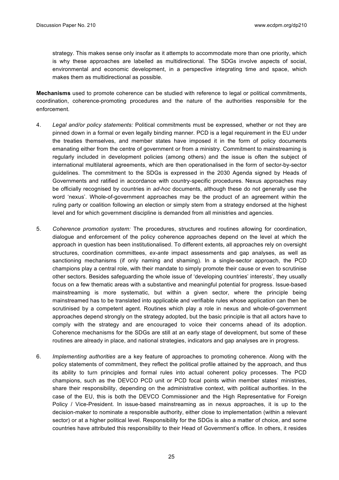strategy. This makes sense only insofar as it attempts to accommodate more than one priority, which is why these approaches are labelled as multidirectional. The SDGs involve aspects of social, environmental and economic development, in a perspective integrating time and space, which makes them as multidirectional as possible.

**Mechanisms** used to promote coherence can be studied with reference to legal or political commitments, coordination, coherence-promoting procedures and the nature of the authorities responsible for the enforcement.

- 4. *Legal and/or policy statements:* Political commitments must be expressed, whether or not they are pinned down in a formal or even legally binding manner. PCD is a legal requirement in the EU under the treaties themselves, and member states have imposed it in the form of policy documents emanating either from the centre of government or from a ministry. Commitment to mainstreaming is regularly included in development policies (among others) and the issue is often the subject of international multilateral agreements, which are then operationalised in the form of sector-by-sector quidelines. The commitment to the SDGs is expressed in the 2030 Agenda signed by Heads of Governments and ratified in accordance with country-specific procedures. Nexus approaches may be officially recognised by countries in *ad-hoc* documents, although these do not generally use the word 'nexus'. Whole-of-government approaches may be the product of an agreement within the ruling party or coalition following an election or simply stem from a strategy endorsed at the highest level and for which government discipline is demanded from all ministries and agencies.
- 5. *Coherence promotion system:* The procedures, structures and routines allowing for coordination, dialogue and enforcement of the policy coherence approaches depend on the level at which the approach in question has been institutionalised. To different extents, all approaches rely on oversight structures, coordination committees, ex-ante impact assessments and gap analyses, as well as sanctioning mechanisms (if only naming and shaming). In a single-sector approach, the PCD champions play a central role, with their mandate to simply promote their cause or even to scrutinise other sectors. Besides safeguarding the whole issue of 'developing countries' interests', they usually focus on a few thematic areas with a substantive and meaningful potential for progress. Issue-based mainstreaming is more systematic, but within a given sector, where the principle being mainstreamed has to be translated into applicable and verifiable rules whose application can then be scrutinised by a competent agent. Routines which play a role in nexus and whole-of-government approaches depend strongly on the strategy adopted, but the basic principle is that all actors have to comply with the strategy and are encouraged to voice their concerns ahead of its adoption. Coherence mechanisms for the SDGs are still at an early stage of development, but some of these routines are already in place, and national strategies, indicators and gap analyses are in progress.
- 6. *Implementing authorities* are a key feature of approaches to promoting coherence. Along with the policy statements of commitment, they reflect the political profile attained by the approach, and thus its ability to turn principles and formal rules into actual coherent policy processes. The PCD champions, such as the DEVCO( PCD unit or PCD focal points within member states' ministries, share their responsibility, depending on the administrative context, with political authorities. In the case of the EU, this is both the DEVCO Commissioner and the High Representative for Foreign Policy / Vice-President. In issue-based mainstreaming as in nexus approaches, it is up to the decision-maker to nominate a responsible authority, either close to implementation (within a relevant sector) or at a higher political level. Responsibility for the SDGs is also a matter of choice, and some countries have attributed this responsibility to their Head of Government's office. In others, it resides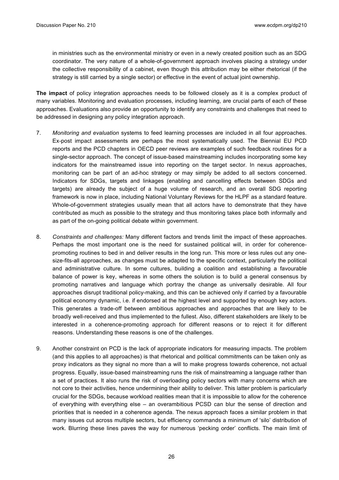in ministries such as the environmental ministry or even in a newly created position such as an SDG coordinator. The very nature of a whole-of-government approach involves placing a strategy under the collective responsibility of a cabinet, even though this attribution may be either rhetorical (if the strategy is still carried by a single sector) or effective in the event of actual joint ownership.

**The impact** of policy integration approaches needs to be followed closely as it is a complex product of many variables. Monitoring and evaluation processes, including learning, are crucial parts of each of these approaches. Evaluations also provide an opportunity to identify any constraints and challenges that need to be addressed in designing any policy integration approach.

- 7. *Monitoring and evaluation* systems to feed learning processes are included in all four approaches. Ex-post impact assessments are perhaps the most systematically used. The Biennial EU PCD reports and the PCD chapters in OECD peer reviews are examples of such feedback routines for a single-sector approach. The concept of issue-based mainstreaming includes incorporating some key indicators for the mainstreamed issue into reporting on the target sector. In nexus approaches, monitoring can be part of an ad-hoc strategy or may simply be added to all sectors concerned. Indicators for SDGs, targets and linkages (enabling and cancelling effects between SDGs and targets) are already the subject of a huge volume of research, and an overall SDG reporting framework is now in place, including National Voluntary Reviews for the HLPF as a standard feature. Whole-of-government strategies usually mean that all actors have to demonstrate that they have contributed as much as possible to the strategy and thus monitoring takes place both informally and as part of the on-going political debate within government.
- 8. *Constraints and challenges:* Many different factors and trends limit the impact of these approaches. Perhaps the most important one is the need for sustained political will, in order for coherencepromoting routines to bed in and deliver results in the long run. This more or less rules out any onesize-fits-all approaches, as changes must be adapted to the specific context, particularly the political and administrative culture. In some cultures, building a coalition and establishing a favourable balance of power is key, whereas in some others the solution is to build a general consensus by promoting narratives and language which portray the change as universally desirable. All four approaches disrupt traditional policy-making, and this can be achieved only if carried by a favourable political economy dynamic, i.e. if endorsed at the highest level and supported by enough key actors. This generates a trade-off between ambitious approaches and approaches that are likely to be broadly well-received and thus implemented to the fullest. Also, different stakeholders are likely to be interested in a coherence-promoting approach for different reasons or to reject it for different reasons. Understanding these reasons is one of the challenges.
- 9. Another constraint on PCD is the lack of appropriate indicators for measuring impacts. The problem (and this applies to all approaches) is that rhetorical and political commitments can be taken only as proxy indicators as they signal no more than a will to make progress towards coherence, not actual progress. Equally, issue-based mainstreaming runs the risk of mainstreaming a language rather than a set of practices. It also runs the risk of overloading policy sectors with many concerns which are not core to their activities, hence undermining their ability to deliver. This latter problem is particularly crucial for the SDGs, because workload realities mean that it is impossible to allow for the coherence of everything with everything else – an overambitious PCSD can blur the sense of direction and priorities that is needed in a coherence agenda. The nexus approach faces a similar problem in that many issues cut across multiple sectors, but efficiency commands a minimum of 'silo' distribution of work. Blurring these lines paves the way for numerous 'pecking order' conflicts. The main limit of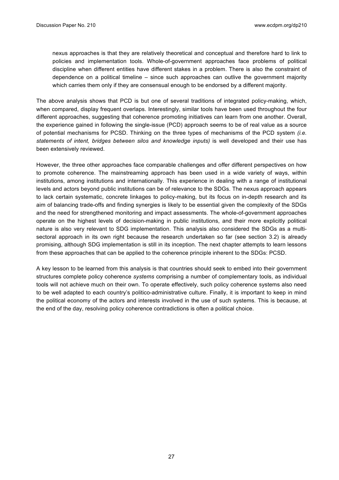nexus approaches is that they are relatively theoretical and conceptual and therefore hard to link to policies and implementation tools. Whole-of-government approaches face problems of political discipline when different entities have different stakes in a problem. There is also the constraint of dependence on a political timeline – since such approaches can outlive the government majority which carries them only if they are consensual enough to be endorsed by a different majority.

The above analysis shows that PCD is but one of several traditions of integrated policy-making, which, when compared, display frequent overlaps. Interestingly, similar tools have been used throughout the four different approaches, suggesting that coherence promoting initiatives can learn from one another. Overall, the experience gained in following the single-issue (PCD) approach seems to be of real value as a source of potential mechanisms for PCSD. Thinking on the three types of mechanisms of the PCD system *(i.e.*) statements of intent, bridges between silos and knowledge inputs) is well developed and their use has been extensively reviewed.

However, the three other approaches face comparable challenges and offer different perspectives on how to promote coherence. The mainstreaming approach has been used in a wide variety of ways, within institutions, among institutions and internationally. This experience in dealing with a range of institutional levels and actors beyond public institutions can be of relevance to the SDGs. The nexus approach appears to lack certain systematic, concrete linkages to policy-making, but its focus on in-depth research and its aim of balancing trade-offs and finding synergies is likely to be essential given the complexity of the SDGs and the need for strengthened monitoring and impact assessments. The whole-of-government approaches operate on the highest levels of decision-making in public institutions, and their more explicitly political nature is also very relevant to SDG implementation. This analysis also considered the SDGs as a multisectoral approach in its own right because the research undertaken so far (see section 3.2) is already promising, although SDG implementation is still in its inception. The next chapter attempts to learn lessons from these approaches that can be applied to the coherence principle inherent to the SDGs: PCSD.

A key lesson to be learned from this analysis is that countries should seek to embed into their government structures complete policy coherence systems comprising a number of complementary tools, as individual tools will not achieve much on their own. To operate effectively, such policy coherence systems also need to be well adapted to each country's politico-administrative culture. Finally, it is important to keep in mind the political economy of the actors and interests involved in the use of such systems. This is because, at the end of the day, resolving policy coherence contradictions is often a political choice.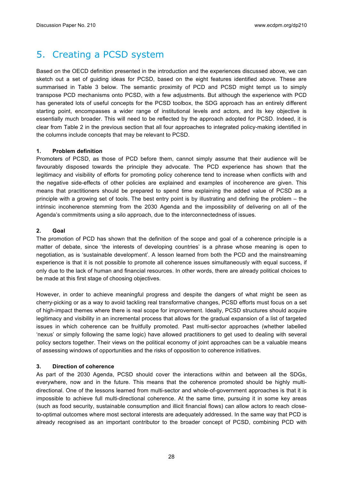# 5. Creating a PCSD system

Based on the OECD definition presented in the introduction and the experiences discussed above, we can sketch out a set of quiding ideas for PCSD, based on the eight features identified above. These are summarised in Table 3 below. The semantic proximity of PCD and PCSD might tempt us to simply transpose PCD mechanisms onto PCSD, with a few adjustments. But although the experience with PCD has generated lots of useful concepts for the PCSD toolbox, the SDG approach has an entirely different starting point, encompasses a wider range of institutional levels and actors, and its key objective is essentially much broader. This will need to be reflected by the approach adopted for PCSD. Indeed, it is clear from Table 2 in the previous section that all four approaches to integrated policy-making identified in the columns include concepts that may be relevant to PCSD.

## **1.** Problem definition

Promoters of PCSD, as those of PCD before them, cannot simply assume that their audience will be favourably disposed towards the principle they advocate. The PCD experience has shown that the legitimacy and visibility of efforts for promoting policy coherence tend to increase when conflicts with and the negative side-effects of other policies are explained and examples of incoherence are given. This means that practitioners should be prepared to spend time explaining the added value of PCSD as a principle with a growing set of tools. The best entry point is by illustrating and defining the problem – the intrinsic incoherence stemming from the 2030 Agenda and the impossibility of delivering on all of the Agenda's commitments using a silo approach, due to the interconnectedness of issues.

## **2. Goal**

The promotion of PCD has shown that the definition of the scope and goal of a coherence principle is a matter of debate, since 'the interests of developing countries' is a phrase whose meaning is open to negotiation, as is 'sustainable development'. A lesson learned from both the PCD and the mainstreaming experience is that it is not possible to promote all coherence issues simultaneously with equal success, if only due to the lack of human and financial resources. In other words, there are already political choices to be made at this first stage of choosing objectives.

However, in order to achieve meaningful progress and despite the dangers of what might be seen as cherry-picking or as a way to avoid tackling real transformative changes, PCSD efforts must focus on a set of high-impact themes where there is real scope for improvement. Ideally, PCSD structures should acquire legitimacy and visibility in an incremental process that allows for the gradual expansion of a list of targeted issues in which coherence can be fruitfully promoted. Past multi-sector approaches (whether labelled 'nexus' or simply following the same logic) have allowed practitioners to get used to dealing with several policy sectors together. Their views on the political economy of joint approaches can be a valuable means of assessing windows of opportunities and the risks of opposition to coherence initiatives.

## **3. Direction of coherence**

As part of the 2030 Agenda, PCSD should cover the interactions within and between all the SDGs, everywhere, now and in the future. This means that the coherence promoted should be highly multidirectional. One of the lessons learned from multi-sector and whole-of-government approaches is that it is impossible to achieve full multi-directional coherence. At the same time, pursuing it in some key areas (such as food security, sustainable consumption and illicit financial flows) can allow actors to reach closeto-optimal outcomes where most sectoral interests are adequately addressed. In the same way that PCD is already recognised as an important contributor to the broader concept of PCSD, combining PCD with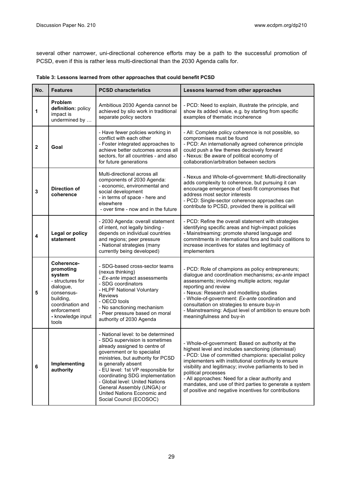several other narrower, uni-directional coherence efforts may be a path to the successful promotion of PCSD, even if this is rather less multi-directional than the 2030 Agenda calls for.

| No.          | <b>Features</b>                                                                                                                                                                                                                                                                                                                                                                                                                       | <b>PCSD characteristics</b>                                                                                                                                                                                                                                                                                                                                                                          | Lessons learned from other approaches                                                                                                                                                                                                                                                                                                                                                                                                                                             |  |  |
|--------------|---------------------------------------------------------------------------------------------------------------------------------------------------------------------------------------------------------------------------------------------------------------------------------------------------------------------------------------------------------------------------------------------------------------------------------------|------------------------------------------------------------------------------------------------------------------------------------------------------------------------------------------------------------------------------------------------------------------------------------------------------------------------------------------------------------------------------------------------------|-----------------------------------------------------------------------------------------------------------------------------------------------------------------------------------------------------------------------------------------------------------------------------------------------------------------------------------------------------------------------------------------------------------------------------------------------------------------------------------|--|--|
| 1            | <b>Problem</b><br>definition: policy<br>impact is<br>undermined by                                                                                                                                                                                                                                                                                                                                                                    | Ambitious 2030 Agenda cannot be<br>achieved by silo work in traditional<br>separate policy sectors                                                                                                                                                                                                                                                                                                   | - PCD: Need to explain, illustrate the principle, and<br>show its added value, e.g. by starting from specific<br>examples of thematic incoherence                                                                                                                                                                                                                                                                                                                                 |  |  |
| $\mathbf{2}$ | Goal                                                                                                                                                                                                                                                                                                                                                                                                                                  | - Have fewer policies working in<br>conflict with each other<br>- Foster integrated approaches to<br>achieve better outcomes across all<br>sectors, for all countries - and also<br>for future generations                                                                                                                                                                                           | - All: Complete policy coherence is not possible, so<br>compromises must be found<br>- PCD: An internationally agreed coherence principle<br>could push a few themes decisively forward<br>- Nexus: Be aware of political economy of<br>collaboration/arbitration between sectors                                                                                                                                                                                                 |  |  |
| $\mathbf{3}$ | Multi-directional across all<br>components of 2030 Agenda:<br>- economic, environmental and<br><b>Direction of</b><br>social development<br>coherence<br>- in terms of space - here and<br>elsewhere<br>- over time - now and in the future                                                                                                                                                                                           |                                                                                                                                                                                                                                                                                                                                                                                                      | - Nexus and Whole-of-government: Multi-directionality<br>adds complexity to coherence, but pursuing it can<br>encourage emergence of best-fit compromises that<br>address most sector interests<br>- PCD: Single-sector coherence approaches can<br>contribute to PCSD, provided there is political will                                                                                                                                                                          |  |  |
| 4            | <b>Legal or policy</b><br>statement                                                                                                                                                                                                                                                                                                                                                                                                   | - 2030 Agenda: overall statement<br>of intent, not legally binding -<br>depends on individual countries<br>and regions; peer pressure<br>- National strategies (many<br>currently being developed)                                                                                                                                                                                                   | - PCD: Refine the overall statement with strategies<br>identifying specific areas and high-impact policies<br>- Mainstreaming: promote shared language and<br>commitments in international fora and build coalitions to<br>increase incentives for states and legitimacy of<br>implementers                                                                                                                                                                                       |  |  |
| 5            | Coherence-<br>- SDG-based cross-sector teams<br>promoting<br>(nexus thinking)<br>system<br>- Ex-ante impact assessments<br>- structures for<br>- SDG coordinators<br>dialogue,<br>- HLPF National Voluntary<br>consensus-<br><b>Reviews</b><br>building,<br>- OECD tools<br>coordination and<br>- No sanctioning mechanism<br>enforcement<br>- Peer pressure based on moral<br>- knowledge input<br>authority of 2030 Agenda<br>tools |                                                                                                                                                                                                                                                                                                                                                                                                      | - PCD: Role of champions as policy entrepreneurs;<br>dialogue and coordination mechanisms; ex-ante impact<br>assessments; involving multiple actors; regular<br>reporting and review<br>- Nexus: Research and modelling studies<br>- Whole-of-government: Ex-ante coordination and<br>consultation on strategies to ensure buy-in<br>- Mainstreaming: Adjust level of ambition to ensure both<br>meaningfulness and buy-in                                                        |  |  |
| 6            | Implementing<br>authority                                                                                                                                                                                                                                                                                                                                                                                                             | - National level: to be determined<br>- SDG supervision is sometimes<br>already assigned to centre of<br>government or to specialist<br>ministries, but authority for PCSD<br>is generally absent<br>- EU level: 1st VP responsible for<br>coordinating SDG implementation<br>- Global level: United Nations<br>General Assembly (UNGA) or<br>United Nations Economic and<br>Social Council (ECOSOC) | - Whole-of-government: Based on authority at the<br>highest level and includes sanctioning (dismissal)<br>- PCD: Use of committed champions: specialist policy<br>implementers with institutional continuity to ensure<br>visibility and legitimacy; involve parliaments to bed in<br>political processes<br>- All approaches: Need for a clear authority and<br>mandates, and use of third parties to generate a system<br>of positive and negative incentives for contributions |  |  |

| Table 3: Lessons learned from other approaches that could benefit PCSD |  |  |  |
|------------------------------------------------------------------------|--|--|--|
|                                                                        |  |  |  |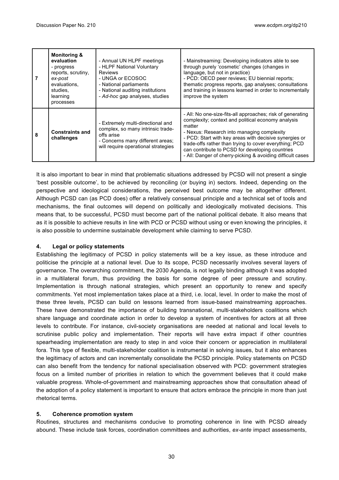|   | <b>Monitoring &amp;</b><br>evaluation<br>- progress<br>reports, scrutiny,<br>ex-post<br>evaluations,<br>studies.<br>learning<br>processes | - Annual UN HLPF meetings<br>- HLPF National Voluntary<br>Reviews<br>- UNGA or ECOSOC<br>- National parliaments<br>- National auditing institutions<br>- Ad-hoc gap analyses, studies | - Mainstreaming: Developing indicators able to see<br>through purely 'cosmetic' changes (changes in<br>language, but not in practice)<br>- PCD: OECD peer reviews; EU biennial reports;<br>thematic progress reports, gap analyses; consultations<br>and training in lessons learned in order to incrementally<br>improve the system                                                                          |
|---|-------------------------------------------------------------------------------------------------------------------------------------------|---------------------------------------------------------------------------------------------------------------------------------------------------------------------------------------|---------------------------------------------------------------------------------------------------------------------------------------------------------------------------------------------------------------------------------------------------------------------------------------------------------------------------------------------------------------------------------------------------------------|
| 8 | <b>Constraints and</b><br>challenges                                                                                                      | - Extremely multi-directional and<br>complex, so many intrinsic trade-<br>offs arise<br>- Concerns many different areas;<br>will require operational strategies                       | - All: No one-size-fits-all approaches; risk of generating<br>complexity; context and political economy analysis<br>matter<br>- Nexus: Research into managing complexity<br>- PCD: Start with key areas with decisive synergies or<br>trade-offs rather than trying to cover everything; PCD<br>can contribute to PCSD for developing countries<br>- All: Danger of cherry-picking & avoiding difficult cases |

It is also important to bear in mind that problematic situations addressed by PCSD will not present a single 'best possible outcome', to be achieved by reconciling (or buying in) sectors. Indeed, depending on the perspective and ideological considerations, the perceived best outcome may be altogether different. Although PCSD can (as PCD does) offer a relatively consensual principle and a technical set of tools and mechanisms, the final outcomes will depend on politically and ideologically motivated decisions. This means that, to be successful, PCSD must become part of the national political debate. It also means that as it is possible to achieve results in line with PCD or PCSD without using or even knowing the principles, it is also possible to undermine sustainable development while claiming to serve PCSD.

#### **4. Legal or/policy/statements**

Establishing the legitimacy of PCSD in policy statements will be a key issue, as these introduce and politicise the principle at a national level. Due to its scope. PCSD necessarily involves several layers of governance. The overarching commitment, the 2030 Agenda, is not legally binding although it was adopted in a multilateral forum, thus providing the basis for some degree of peer pressure and scrutiny. Implementation is through national strategies, which present an opportunity to renew and specify commitments. Yet most implementation takes place at a third, i.e. local, level. In order to make the most of these three levels, PCSD can build on lessons learned from issue-based mainstreaming approaches. These have demonstrated the importance of building transnational, multi-stakeholders coalitions which share language and coordinate action in order to develop a system of incentives for actors at all three levels to contribute. For instance, civil-society organisations are needed at national and local levels to scrutinise public policy and implementation. Their reports will have extra impact if other countries spearheading implementation are ready to step in and voice their concern or appreciation in multilateral fora. This type of flexible, multi-stakeholder coalition is instrumental in solving issues, but it also enhances the legitimacy of actors and can incrementally consolidate the PCSD principle. Policy statements on PCSD can also benefit from the tendency for national specialisation observed with PCD; government strategies focus on a limited number of priorities in relation to which the government believes that it could make valuable progress. Whole-of-government and mainstreaming approaches show that consultation ahead of the adoption of a policy statement is important to ensure that actors embrace the principle in more than just rhetorical terms.

#### **5.** Coherence promotion system

Routines, structures and mechanisms conducive to promoting coherence in line with PCSD already abound. These include task forces, coordination committees and authorities, ex-ante impact assessments,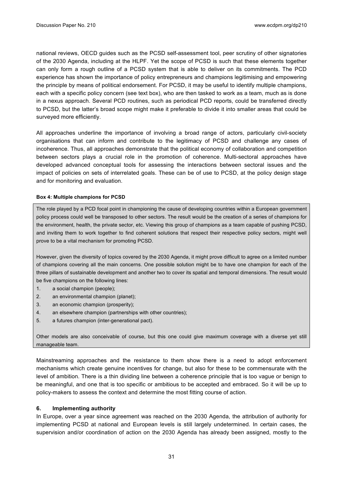national reviews, OECD guides such as the PCSD self-assessment tool, peer scrutiny of other signatories of the 2030 Agenda, including at the HLPF. Yet the scope of PCSD is such that these elements together can only form a rough outline of a PCSD system that is able to deliver on its commitments. The PCD experience has shown the importance of policy entrepreneurs and champions legitimising and empowering the principle by means of political endorsement. For PCSD, it may be useful to identify multiple champions, each with a specific policy concern (see text box), who are then tasked to work as a team, much as is done in a nexus approach. Several PCD routines, such as periodical PCD reports, could be transferred directly to PCSD, but the latter's broad scope might make it preferable to divide it into smaller areas that could be surveyed more efficiently.

All approaches underline the importance of involving a broad range of actors, particularly civil-society organisations that can inform and contribute to the legitimacy of PCSD and challenge any cases of incoherence. Thus, all approaches demonstrate that the political economy of collaboration and competition between sectors plays a crucial role in the promotion of coherence. Multi-sectoral approaches have developed advanced conceptual tools for assessing the interactions between sectoral issues and the impact of policies on sets of interrelated goals. These can be of use to PCSD, at the policy design stage and for monitoring and evaluation.

#### **Box 4: Multiple champions for PCSD**

The role played by a PCD focal point in championing the cause of developing countries within a European government policy process could well be transposed to other sectors. The result would be the creation of a series of champions for the environment, health, the private sector, etc. Viewing this group of champions as a team capable of pushing PCSD, and inviting them to work together to find coherent solutions that respect their respective policy sectors, might well prove to be a vital mechanism for promoting PCSD.

However, given the diversity of topics covered by the 2030 Agenda, it might prove difficult to agree on a limited number of champions covering all the main concerns. One possible solution might be to have one champion for each of the three pillars of sustainable development and another two to cover its spatial and temporal dimensions. The result would be five champions on the following lines:

- 1. a social champion (people);
- 2. an environmental champion (planet);
- 3. an economic champion (prosperity);
- 4. an elsewhere champion (partnerships with other countries);
- 5. a futures champion (inter-generational pact).

Other models are also conceivable of course, but this one could give maximum coverage with a diverse yet still manageable team.

Mainstreaming approaches and the resistance to them show there is a need to adopt enforcement mechanisms which create genuine incentives for change, but also for these to be commensurate with the level of ambition. There is a thin dividing line between a coherence principle that is too vague or benign to be meaningful, and one that is too specific or ambitious to be accepted and embraced. So it will be up to policy-makers to assess the context and determine the most fitting course of action.

#### **6. Implementing/authority**

In Europe, over a year since agreement was reached on the 2030 Agenda, the attribution of authority for implementing PCSD at national and European levels is still largely undetermined. In certain cases, the supervision and/or coordination of action on the 2030 Agenda has already been assigned, mostly to the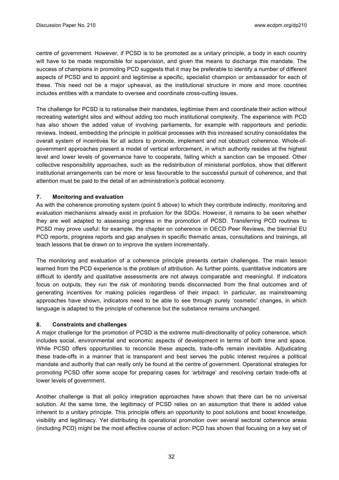centre of government. However, if PCSD is to be promoted as a unitary principle, a body in each country will have to be made responsible for supervision, and given the means to discharge this mandate. The success of champions in promoting PCD suggests that it may be preferable to identify a number of different aspects of PCSD and to appoint and legitimise a specific, specialist champion or ambassador for each of these. This need not be a major upheaval, as the institutional structure in more and more countries includes entities with a mandate to oversee and coordinate cross-cutting issues.

The challenge for PCSD is to rationalise their mandates, legitimise them and coordinate their action without recreating watertight silos and without adding too much institutional complexity. The experience with PCD has also shown the added value of involving parliaments, for example with rapporteurs and periodic reviews. Indeed, embedding the principle in political processes with this increased scrutiny consolidates the overall system of incentives for all actors to promote, implement and not obstruct coherence. Whole-ofgovernment approaches present a model of vertical enforcement, in which authority resides at the highest level and lower levels of governance have to cooperate, failing which a sanction can be imposed. Other collective responsibility approaches, such as the redistribution of ministerial portfolios, show that different institutional arrangements can be more or less favourable to the successful pursuit of coherence, and that attention must be paid to the detail of an administration's political economy.

## **7.** Monitoring and evaluation

As with the coherence promoting system (point 5 above) to which they contribute indirectly, monitoring and evaluation mechanisms already exist in profusion for the SDGs. However, it remains to be seen whether they are well adapted to assessing progress in the promotion of PCSD. Transferring PCD routines to PCSD may prove useful: for example, the chapter on coherence in OECD Peer Reviews, the biennial EU PCD reports, progress reports and gap analyses in specific thematic areas, consultations and trainings, all teach lessons that be drawn on to improve the system incrementally.

The monitoring and evaluation of a coherence principle presents certain challenges. The main lesson learned from the PCD experience is the problem of attribution. As further points, quantitative indicators are difficult to identify and qualitative assessments are not always comparable and meaningful. If indicators focus on outputs, they run the risk of monitoring trends disconnected from the final outcomes and of generating incentives for making policies regardless of their impact. In particular, as mainstreaming approaches have shown, indicators need to be able to see through purely 'cosmetic' changes, in which language is adapted to the principle of coherence but the substance remains unchanged.

#### 8. **Constraints and challenges**

A major challenge for the promotion of PCSD is the extreme multi-directionality of policy coherence, which includes social, environmental and economic aspects of development in terms of both time and space. While PCSD offers opportunities to reconcile these aspects, trade-offs remain inevitable. Adjudicating these trade-offs in a manner that is transparent and best serves the public interest requires a political mandate and authority that can really only be found at the centre of government. Operational strategies for promoting PCSD offer some scope for preparing cases for 'arbitrage' and resolving certain trade-offs at lower levels of government.

Another challenge is that all policy integration approaches have shown that there can be no universal solution. At the same time, the legitimacy of PCSD relies on an assumption that there is added value inherent to a unitary principle. This principle offers an opportunity to pool solutions and boost knowledge, visibility and legitimacy. Yet distributing its operational promotion over several sectoral coherence areas (including PCD) might be the most effective course of action: PCD has shown that focusing on a key set of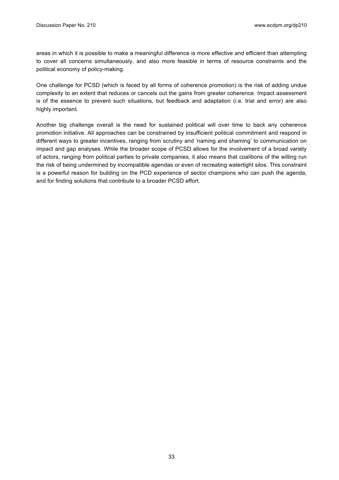areas in which it is possible to make a meaningful difference is more effective and efficient than attempting to cover all concerns simultaneously, and also more feasible in terms of resource constraints and the political economy of policy-making.

One challenge for PCSD (which is faced by all forms of coherence promotion) is the risk of adding undue complexity to an extent that reduces or cancels out the gains from greater coherence. Impact assessment is of the essence to prevent such situations, but feedback and adaptation (i.e. trial and error) are also highly important.

Another big challenge overall is the need for sustained political will over time to back any coherence promotion initiative. All approaches can be constrained by insufficient political commitment and respond in different ways to greater incentives, ranging from scrutiny and 'naming and shaming' to communication on impact and gap analyses. While the broader scope of PCSD allows for the involvement of a broad variety of actors, ranging from political parties to private companies, it also means that coalitions of the willing run the risk of being undermined by incompatible agendas or even of recreating watertight silos. This constraint is a powerful reason for building on the PCD experience of sector champions who can push the agenda, and for finding solutions that contribute to a broader PCSD effort.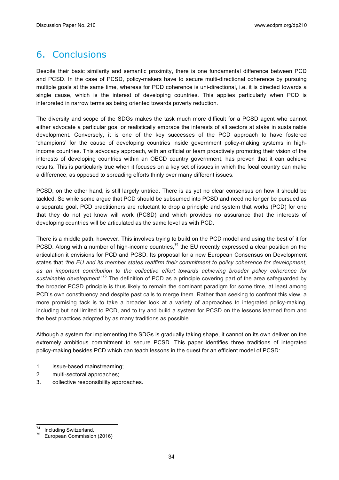# 6. Conclusions

Despite their basic similarity and semantic proximity, there is one fundamental difference between PCD and PCSD. In the case of PCSD, policy-makers have to secure multi-directional coherence by pursuing multiple goals at the same time, whereas for PCD coherence is uni-directional, i.e. it is directed towards a single cause, which is the interest of developing countries. This applies particularly when PCD is interpreted in narrow terms as being oriented towards poverty reduction.

The diversity and scope of the SDGs makes the task much more difficult for a PCSD agent who cannot either advocate a particular goal or realistically embrace the interests of all sectors at stake in sustainable development. Conversely, it is one of the key successes of the PCD approach to have fostered 'champions' for the cause of developing countries inside government policy-making systems in highincome countries. This advocacy approach, with an official or team proactively promoting their vision of the interests of developing countries within an OECD country government, has proven that it can achieve results. This is particularly true when it focuses on a key set of issues in which the focal country can make a difference, as opposed to spreading efforts thinly over many different issues.

PCSD, on the other hand, is still largely untried. There is as yet no clear consensus on how it should be tackled. So while some argue that PCD should be subsumed into PCSD and need no longer be pursued as a separate goal, PCD practitioners are reluctant to drop a principle and system that works (PCD) for one that they do not yet know will work (PCSD) and which provides no assurance that the interests of developing countries will be articulated as the same level as with PCD.

There is a middle path, however. This involves trying to build on the PCD model and using the best of it for PCSD. Along with a number of high-income countries,<sup>74</sup> the EU recently expressed a clear position on the articulation it envisions for PCD and PCSD. Its proposal for a new European Consensus on Development states that 'the EU and its member states reaffirm their commitment to policy coherence for development, as an important contribution to the collective effort towards achieving broader policy coherence for sustainable development.<sup>'75</sup> The definition of PCD as a principle covering part of the area safeguarded by the broader PCSD principle is thus likely to remain the dominant paradigm for some time, at least among PCD's own constituency and despite past calls to merge them. Rather than seeking to confront this view, a more promising tack is to take a broader look at a variety of approaches to integrated policy-making, including but not limited to PCD, and to try and build a system for PCSD on the lessons learned from and the best practices adopted by as many traditions as possible.

Although a system for implementing the SDGs is gradually taking shape, it cannot on its own deliver on the extremely ambitious commitment to secure PCSD. This paper identifies three traditions of integrated policy-making besides PCD which can teach lessons in the quest for an efficient model of PCSD:

- 1. issue-based mainstreaming;
- 2. multi-sectoral approaches;
- 3. collective responsibility approaches.

<sup>&</sup>lt;sup>74</sup> Including Switzerland.<br><sup>75</sup> European Commission (2016)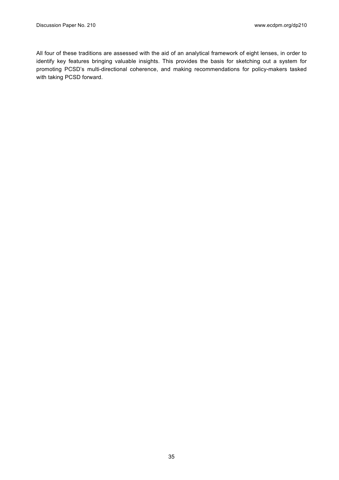All four of these traditions are assessed with the aid of an analytical framework of eight lenses, in order to identify key features bringing valuable insights. This provides the basis for sketching out a system for promoting PCSD's multi-directional coherence, and making recommendations for policy-makers tasked with taking PCSD forward.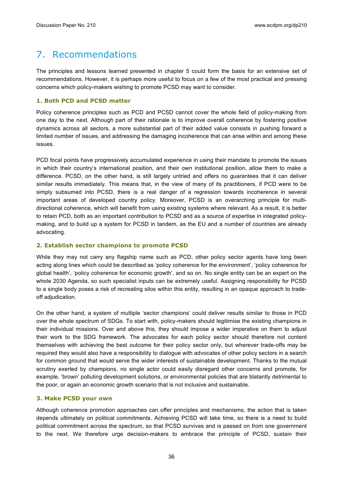# 7. Recommendations

The principles and lessons learned presented in chapter 5 could form the basis for an extensive set of recommendations. However, it is perhaps more useful to focus on a few of the most practical and pressing concerns which policy-makers wishing to promote PCSD may want to consider.

## **1. Both PCD and PCSD matter**

Policy coherence principles such as PCD and PCSD cannot cover the whole field of policy-making from one day to the next. Although part of their rationale is to improve overall coherence by fostering positive dynamics across all sectors, a more substantial part of their added value consists in pushing forward a limited number of issues, and addressing the damaging incoherence that can arise within and among these issues.

PCD focal points have progressively accumulated experience in using their mandate to promote the issues in which their country's international position, and their own institutional position, allow them to make a difference. PCSD, on the other hand, is still largely untried and offers no quarantees that it can deliver similar results immediately. This means that, in the view of many of its practitioners, if PCD were to be simply subsumed into PCSD, there is a real danger of a regression towards incoherence in several important areas of developed country policy. Moreover, PCSD is an overarching principle for multidirectional coherence, which will benefit from using existing systems where relevant. As a result, it is better to retain PCD, both as an important contribution to PCSD and as a source of expertise in integrated policymaking, and to build up a system for PCSD in tandem, as the EU and a number of countries are already advocating.

## **2. Establish sector champions to promote PCSD**

While they may not carry any flagship name such as PCD, other policy sector agents have long been acting along lines which could be described as 'policy coherence for the environment', 'policy coherence for global health', 'policy coherence for economic growth', and so on. No single entity can be an expert on the whole 2030 Agenda, so such specialist inputs can be extremely useful. Assigning responsibility for PCSD to a single body poses a risk of recreating silos within this entity, resulting in an opaque approach to tradeoff adjudication.

On the other hand, a system of multiple 'sector champions' could deliver results similar to those in PCD over the whole spectrum of SDGs. To start with, policy-makers should legitimise the existing champions in their individual missions. Over and above this, they should impose a wider imperative on them to adjust their work to the SDG framework. The advocates for each policy sector should therefore not content themselves with achieving the best outcome for their policy sector only, but wherever trade-offs may be required they would also have a responsibility to dialogue with advocates of other policy sectors in a search for common ground that would serve the wider interests of sustainable development. Thanks to the mutual scrutiny exerted by champions, no single actor could easily disregard other concerns and promote, for example, 'brown' polluting development solutions, or environmental policies that are blatantly detrimental to the poor, or again an economic growth scenario that is not inclusive and sustainable.

#### **3. Make PCSD your own**

Although coherence promotion approaches can offer principles and mechanisms, the action that is taken depends ultimately on political commitments. Achieving PCSD will take time, so there is a need to build political commitment across the spectrum, so that PCSD survives and is passed on from one government to the next. We therefore urge decision-makers to embrace the principle of PCSD, sustain their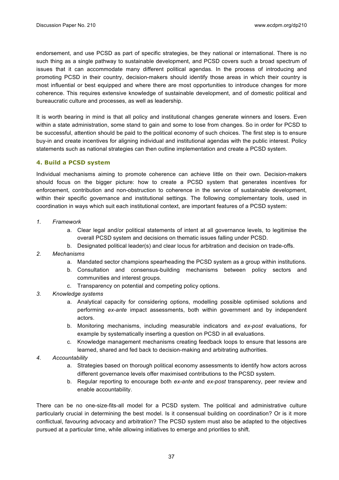endorsement, and use PCSD as part of specific strategies, be they national or international. There is no such thing as a single pathway to sustainable development, and PCSD covers such a broad spectrum of issues that it can accommodate many different political agendas. In the process of introducing and promoting PCSD in their country, decision-makers should identify those areas in which their country is most influential or best equipped and where there are most opportunities to introduce changes for more coherence. This requires extensive knowledge of sustainable development, and of domestic political and bureaucratic culture and processes, as well as leadership.

It is worth bearing in mind is that all policy and institutional changes generate winners and losers. Even within a state administration, some stand to gain and some to lose from changes. So in order for PCSD to be successful, attention should be paid to the political economy of such choices. The first step is to ensure buy-in and create incentives for aligning individual and institutional agendas with the public interest. Policy statements such as national strategies can then outline implementation and create a PCSD system.

## **4. Build a PCSD system**

Individual mechanisms aiming to promote coherence can achieve little on their own. Decision-makers should focus on the bigger picture: how to create a PCSD system that generates incentives for enforcement, contribution and non-obstruction to coherence in the service of sustainable development, within their specific governance and institutional settings. The following complementary tools, used in coordination in ways which suit each institutional context, are important features of a PCSD system:

- *1. Framework*
	- a. Clear legal and/or political statements of intent at all governance levels, to legitimise the overall PCSD system and decisions on thematic issues falling under PCSD.
	- b. Designated political leader(s) and clear locus for arbitration and decision on trade-offs.
- *2. Mechanisms*
	- a. Mandated sector champions spearheading the PCSD system as a group within institutions.
	- b. Consultation and consensus-building mechanisms between policy sectors and communities and interest groups.
	- c. Transparency on potential and competing policy options.
- 3. **Knowledge systems** 
	- a. Analytical capacity for considering options, modelling possible optimised solutions and performing *ex-ante* impact assessments, both within government and by independent actors.
	- b. Monitoring mechanisms, including measurable indicators and ex-post evaluations, for example by systematically inserting a question on PCSD in all evaluations.
	- c. Knowledge management mechanisms creating feedback loops to ensure that lessons are learned, shared and fed back to decision-making and arbitrating authorities.
- *4. Accountability*
	- a. Strategies based on thorough political economy assessments to identify how actors across different governance levels offer maximised contributions to the PCSD system.
	- b. Regular reporting to encourage both ex-ante and ex-post transparency, peer review and enable accountability.

There can be no one-size-fits-all model for a PCSD system. The political and administrative culture particularly crucial in determining the best model. Is it consensual building on coordination? Or is it more conflictual, favouring advocacy and arbitration? The PCSD system must also be adapted to the objectives pursued at a particular time, while allowing initiatives to emerge and priorities to shift.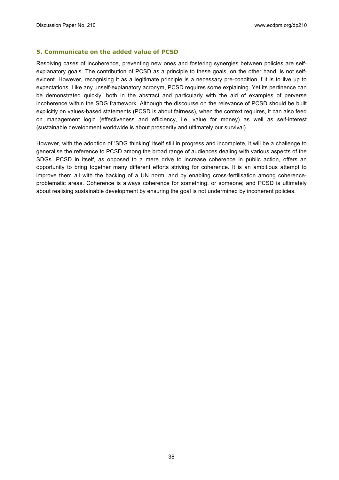## **5. Communicate on the added value of PCSD**

Resolving cases of incoherence, preventing new ones and fostering synergies between policies are selfexplanatory goals. The contribution of PCSD as a principle to these goals, on the other hand, is not selfevident. However, recognising it as a legitimate principle is a necessary pre-condition if it is to live up to expectations. Like any unself-explanatory acronym, PCSD requires some explaining. Yet its pertinence can be demonstrated quickly, both in the abstract and particularly with the aid of examples of perverse incoherence within the SDG framework. Although the discourse on the relevance of PCSD should be built explicitly on values-based statements (PCSD is about fairness), when the context requires, it can also feed on management logic (effectiveness and efficiency, i.e. value for money) as well as self-interest (sustainable development worldwide is about prosperity and ultimately our survival).

However, with the adoption of 'SDG thinking' itself still in progress and incomplete, it will be a challenge to generalise the reference to PCSD among the broad range of audiences dealing with various aspects of the SDGs. PCSD in itself, as opposed to a mere drive to increase coherence in public action, offers an opportunity to bring together many different efforts striving for coherence. It is an ambitious attempt to improve them all with the backing of a UN norm, and by enabling cross-fertilisation among coherenceproblematic areas. Coherence is always coherence for something, or someone; and PCSD is ultimately about realising sustainable development by ensuring the goal is not undermined by incoherent policies.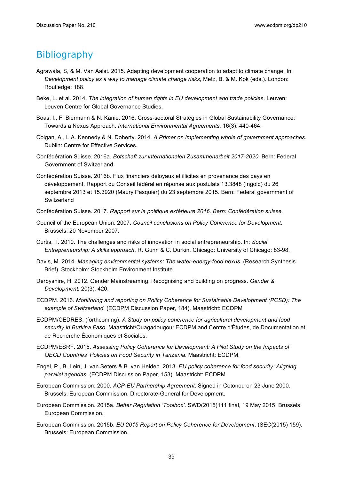# Bibliography

- Agrawala, S, & M. Van Aalst. 2015. Adapting development cooperation to adapt to climate change. In: *Development policy as a way to manage climate change risks, Metz, B. & M. Kok (eds.). London:* Routledge: 188.
- Beke, L. et al. 2014. The integration of human rights in EU development and trade policies. Leuven: Leuven Centre for Global Governance Studies.
- Boas, I., F. Biermann & N. Kanie. 2016. Cross-sectoral Strategies in Global Sustainability Governance: Towards a Nexus Approach. International Environmental Agreements. 16(3): 440-464.
- Colgan, A., L.A. Kennedy & N. Doherty. 2014. *A Primer on implementing whole of government approaches.* Dublin: Centre for Effective Services.
- Confédération Suisse. 2016a. Botschaft zur internationalen Zusammenarbeit 2017-2020. Bern: Federal Government of Switzerland.
- Confédération Suisse. 2016b. Flux financiers déloyaux et illicites en provenance des pays en développement. Rapport du Conseil fédéral en réponse aux postulats 13.3848 (Ingold) du 26 septembre 2013 et 15.3920 (Maury Pasquier) du 23 septembre 2015. Bern: Federal government of Switzerland
- Confédération Suisse. 2017. Rapport sur la politique extérieure 2016. Bern: Confédération suisse.
- Council of the European Union. 2007. Council conclusions on Policy Coherence for Development. Brussels: 20 November 2007.
- Curtis, T. 2010. The challenges and risks of innovation in social entrepreneurship. In: *Social Entrepreneurship: A skills approach, R. Gunn & C. Durkin. Chicago: University of Chicago: 83-98.*
- Davis, M. 2014. Managing environmental systems: The water-energy-food nexus. (Research Synthesis Brief). Stockholm: Stockholm Environment Institute.
- Derbyshire, H. 2012. Gender Mainstreaming: Recognising and building on progress. *Gender & Development.* 20(3): 420.
- ECDPM. 2016. Monitoring and reporting on Policy Coherence for Sustainable Development (PCSD): The example of Switzerland. (ECDPM Discussion Paper, 184). Maastricht: ECDPM
- ECDPM/CEDRES. (forthcoming). A Study on policy coherence for agricultural development and food security in Burkina Faso. Maastricht/Ouagadougou: ECDPM and Centre d'Études, de Documentation et de Recherche Économiques et Sociales.
- ECDPM/ESRF. 2015. Assessing Policy Coherence for Development: A Pilot Study on the Impacts of **OECD Countries' Policies on Food Security in Tanzania. Maastricht: ECDPM.**
- Engel, P., B. Lein, J. van Seters & B. van Helden. 2013. *EU policy coherence for food security: Aligning* parallel agendas. (ECDPM Discussion Paper, 153). Maastricht: ECDPM.
- European Commission. 2000. *ACP-EU Partnership Agreement*. Signed in Cotonou on 23 June 2000. Brussels: European Commission, Directorate-General for Development.
- European Commission. 2015a. Better Regulation 'Toolbox'. SWD(2015)111 final, 19 May 2015. Brussels: European Commission.
- European Commission. 2015b. *EU 2015 Report on Policy Coherence for Development*. (SEC(2015) 159). Brussels: European Commission.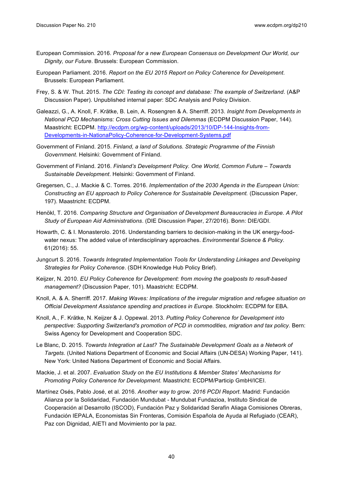- European Commission. 2016. Proposal for a new European Consensus on Development Our World, our *Dignity, our Future. Brussels: European Commission.*
- European Parliament. 2016. *Report on the EU 2015 Report on Policy Coherence for Development.* Brussels: European Parliament.
- Frey, S. & W. Thut. 2015. *The CDI: Testing its concept and database: The example of Switzerland.* (A&P) Discussion Paper). Unpublished internal paper: SDC Analysis and Policy Division.
- Galeazzi, G., A. Knoll, F. Krätke, B. Lein, A. Rosengren & A. Sherriff. 2013. *Insight from Developments in National PCD Mechanisms: Cross Cutting Issues and Dilemmas (ECDPM Discussion Paper, 144).* Maastricht: ECDPM. http://ecdpm.org/wp-content/uploads/2013/10/DP-144-Insights-from-Developments-in-NationaPolicy-Coherence-for-Development-Systems.pdf
- Government of Finland. 2015. Finland, a land of Solutions. Strategic Programme of the Finnish *Government.* Helsinki: Government of Finland.
- Government of Finland. 2016. Finland's Development Policy. One World, Common Future Towards *Sustainable Development.* Helsinki: Government of Finland.
- Gregersen, C., J. Mackie & C. Torres. 2016. *Implementation of the 2030 Agenda in the European Union: Constructing an EU approach to Policy Coherence for Sustainable Development. (Discussion Paper,* 197). Maastricht: ECDPM.
- Henökl, T. 2016. Comparing Structure and Organisation of Development Bureaucracies in Europe. A Pilot *Study of European Aid Administrations*. (DIE Discussion Paper, 27/2016). Bonn: DIE/GDI.
- Howarth, C. & I. Monasterolo. 2016. Understanding barriers to decision-making in the UK energy-foodwater nexus: The added value of interdisciplinary approaches. *Environmental Science & Policy.* 61(2016): 55.
- Jungcurt S. 2016. Towards Integrated Implementation Tools for Understanding Linkages and Developing Strategies for Policy Coherence. (SDH Knowledge Hub Policy Brief).
- Keijzer, N. 2010. *EU Policy Coherence for Development: from moving the goalposts to result-based management?* (Discussion Paper, 101). Maastricht: ECDPM.
- Knoll, A. & A. Sherriff. 2017. Making Waves: Implications of the irregular migration and refugee situation on *Official Development Assistance spending and practices in Europe. Stockholm: ECDPM for EBA.*
- Knoll, A., F. Krätke, N. Keijzer & J. Oppewal. 2013. Putting Policy Coherence for Development into *perspective: Supporting Switzerland's promotion of PCD in commodities, migration and tax policy. Bern:* Swiss Agency for Development and Cooperation SDC.
- Le Blanc, D. 2015. *Towards Integration at Last? The Sustainable Development Goals as a Network of Targets*. (United Nations Department of Economic and Social Affairs (UN-DESA) Working Paper, 141). New York: United Nations Department of Economic and Social Affairs.
- Mackie, J. et al. 2007. *Evaluation Study on the EU Institutions & Member States' Mechanisms for Promoting Policy Coherence for Development.* Maastricht: ECDPM/Particip GmbH/ICEI.
- Martínez Osés, Pablo José, et al. 2016. *Another way to grow. 2016 PCDI Report*. Madrid: Fundación Alianza por la Solidaridad, Fundación Mundubat - Mundubat Fundazioa, Instituto Sindical de Cooperación al Desarrollo (ISCOD), Fundación Paz y Solidaridad Serafín Aliaga Comisiones Obreras, Fundación (EPALA, Economistas Sin Fronteras, Comisión Española de Ayuda al Refugiado (CEAR), Paz con Dignidad, AIETI and Movimiento por la paz.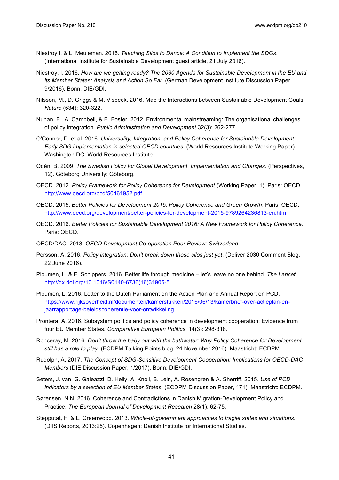- Niestroy I. & L. Meuleman. 2016. Teaching Silos to Dance: A Condition to Implement the SDGs. (International Institute for Sustainable Development guest article, 21 July 2016).
- Niestroy, I. 2016. *How are we getting ready? The 2030 Agenda for Sustainable Development in the EU and its Member States: Analysis and Action So Far. (German Development Institute Discussion Paper,* 9/2016). Bonn: DIE/GDI.
- Nilsson, M., D. Griggs & M. Visbeck. 2016. Map the Interactions between Sustainable Development Goals. *Nature* (534): 320-322.
- Nunan, F., A. Campbell, & E. Foster. 2012. Environmental mainstreaming: The organisational challenges of policy integration. Public Administration and Development 32(3): 262-277.
- O'Connor, D. et al. 2016. *Universality, Integration, and Policy Coherence for Sustainable Development: Early SDG implementation in selected OECD countries.* (World Resources Institute Working Paper). Washington DC: World Resources Institute.
- Odén, B. 2009. The Swedish Policy for Global Development. Implementation and Changes. (Perspectives, 12). Göteborg University: Göteborg.
- OECD. 2012. Policy Framework for Policy Coherence for Development (Working Paper, 1). Paris: OECD. http://www.oecd.org/pcd/50461952.pdf.
- OECD. 2015. *Better Policies for Development 2015: Policy Coherence and Green Growth*. Paris: OECD. http://www.oecd.org/development/better-policies-for-development-2015-9789264236813-en.htm
- OECD. 2016. Better Policies for Sustainable Development 2016: A New Framework for Policy Coherence. Paris: OECD.
- OECD/DAC. 2013. OECD Development Co-operation Peer Review: Switzerland
- Persson, A. 2016. *Policy integration: Don't break down those silos just yet*. (Deliver 2030 Comment Blog, 22 June 2016).
- Ploumen, L. & E. Schippers. 2016. Better life through medicine let's leave no one behind. The Lancet. http://dx.doi.org/10.1016/S0140-6736(16)31905-5.
- Ploumen, L. 2016. Letter to the Dutch Parliament on the Action Plan and Annual Report on PCD. https://www.rijksoverheid.nl/documenten/kamerstukken/2016/06/13/kamerbrief-over-actieplan-enjaarrapportage-beleidscoherentie-voor-ontwikkeling .
- Prontera, A. 2016. Subsystem politics and policy coherence in development cooperation: Evidence from four EU Member States. Comparative European Politics. 14(3): 298-318.
- Ronceray, M. 2016. *Don't throw the baby out with the bathwater: Why Policy Coherence for Development* still has a role to play. (ECDPM Talking Points blog, 24 November 2016). Maastricht: ECDPM.
- Rudolph, A. 2017. *The Concept of SDG-Sensitive Development Cooperation: Implications for OECD-DAC Members* (DIE Discussion Paper, 1/2017). Bonn: DIE/GDI.
- Seters, J. van, G. Galeazzi, D. Helly, A. Knoll, B. Lein, A. Rosengren & A. Sherriff. 2015. Use of PCD *indicators by a selection of EU Member States.* (ECDPM Discussion Paper, 171). Maastricht: ECDPM.
- Sørensen, N.N. 2016. Coherence and Contradictions in Danish Migration-Development Policy and Practice. *The European Journal of Development Research* 28(1): 62-75.
- Stepputat, F. & L. Greenwood. 2013. *Whole-of-government approaches to fragile states and situations.* (DIIS Reports, 2013:25). Copenhagen: Danish Institute for International Studies.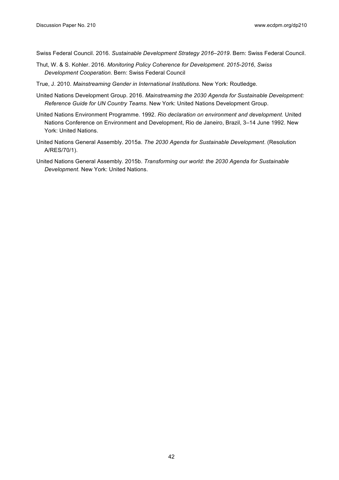Swiss Federal Council. 2016. *Sustainable Development Strategy 2016–2019*. Bern: Swiss Federal Council.

- Thut, W. & S. Kohler. 2016. *Monitoring Policy Coherence for Development.* 2015-2016, Swiss *Development Cooperation. Bern: Swiss Federal Council*
- True, J. 2010. Mainstreaming Gender in International Institutions. New York: Routledge.
- United Nations Development Group. 2016. Mainstreaming the 2030 Agenda for Sustainable Development: *Reference Guide for UN Country Teams. New York: United Nations Development Group.*
- United Nations Environment Programme. 1992. Rio declaration on environment and development. United Nations Conference on Environment and Development, Rio de Janeiro, Brazil, 3–14 June 1992. New York: United Nations.
- United Nations General Assembly. 2015a. The 2030 Agenda for Sustainable Development. (Resolution A/RES/70/1).
- United Nations General Assembly. 2015b. Transforming our world: the 2030 Agenda for Sustainable *Development*. New York: United Nations.